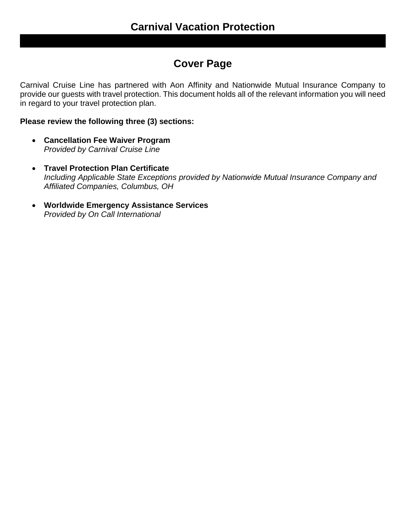# **Cover Page**

Carnival Cruise Line has partnered with Aon Affinity and Nationwide Mutual Insurance Company to provide our guests with travel protection. This document holds all of the relevant information you will need in regard to your travel protection plan.

# **Please review the following three (3) sections:**

- **Cancellation Fee Waiver Program** *Provided by Carnival Cruise Line*
- **Travel Protection Plan Certificate** *Including Applicable State Exceptions provided by Nationwide Mutual Insurance Company and Affiliated Companies, Columbus, OH*
- **Worldwide Emergency Assistance Services** *Provided by On Call International*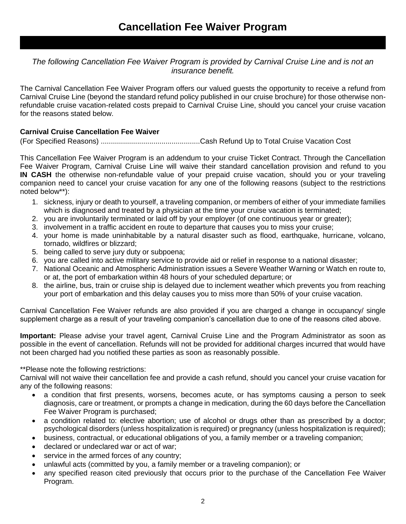*The following Cancellation Fee Waiver Program is provided by Carnival Cruise Line and is not an insurance benefit.*

The Carnival Cancellation Fee Waiver Program offers our valued guests the opportunity to receive a refund from Carnival Cruise Line (beyond the standard refund policy published in our cruise brochure) for those otherwise nonrefundable cruise vacation-related costs prepaid to Carnival Cruise Line, should you cancel your cruise vacation for the reasons stated below.

# **Carnival Cruise Cancellation Fee Waiver**

(For Specified Reasons) .................................................Cash Refund Up to Total Cruise Vacation Cost

This Cancellation Fee Waiver Program is an addendum to your cruise Ticket Contract. Through the Cancellation Fee Waiver Program, Carnival Cruise Line will waive their standard cancellation provision and refund to you **IN CASH** the otherwise non-refundable value of your prepaid cruise vacation, should you or your traveling companion need to cancel your cruise vacation for any one of the following reasons (subject to the restrictions noted below\*\*):

- 1. sickness, injury or death to yourself, a traveling companion, or members of either of your immediate families which is diagnosed and treated by a physician at the time your cruise vacation is terminated;
- 2. you are involuntarily terminated or laid off by your employer (of one continuous year or greater);
- 3. involvement in a traffic accident en route to departure that causes you to miss your cruise;
- 4. your home is made uninhabitable by a natural disaster such as flood, earthquake, hurricane, volcano, tornado, wildfires or blizzard;
- 5. being called to serve jury duty or subpoena;
- 6. you are called into active military service to provide aid or relief in response to a national disaster;
- 7. National Oceanic and Atmospheric Administration issues a Severe Weather Warning or Watch en route to, or at, the port of embarkation within 48 hours of your scheduled departure; or
- 8. the airline, bus, train or cruise ship is delayed due to inclement weather which prevents you from reaching your port of embarkation and this delay causes you to miss more than 50% of your cruise vacation.

Carnival Cancellation Fee Waiver refunds are also provided if you are charged a change in occupancy/ single supplement charge as a result of your traveling companion's cancellation due to one of the reasons cited above.

**Important:** Please advise your travel agent, Carnival Cruise Line and the Program Administrator as soon as possible in the event of cancellation. Refunds will not be provided for additional charges incurred that would have not been charged had you notified these parties as soon as reasonably possible.

\*\*Please note the following restrictions:

Carnival will not waive their cancellation fee and provide a cash refund, should you cancel your cruise vacation for any of the following reasons:

- a condition that first presents, worsens, becomes acute, or has symptoms causing a person to seek diagnosis, care or treatment, or prompts a change in medication, during the 60 days before the Cancellation Fee Waiver Program is purchased;
- a condition related to: elective abortion; use of alcohol or drugs other than as prescribed by a doctor; psychological disorders (unless hospitalization is required) or pregnancy (unless hospitalization is required);
- business, contractual, or educational obligations of you, a family member or a traveling companion;
- declared or undeclared war or act of war;
- service in the armed forces of any country:
- unlawful acts (committed by you, a family member or a traveling companion); or
- any specified reason cited previously that occurs prior to the purchase of the Cancellation Fee Waiver Program.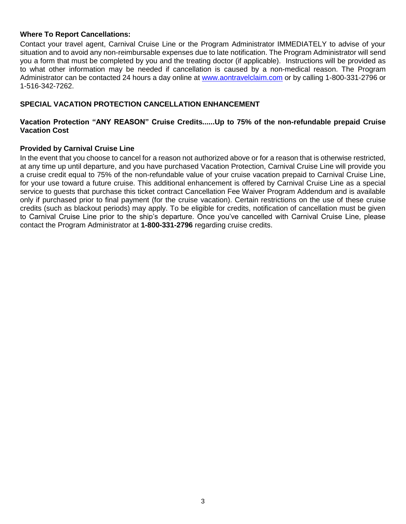# **Where To Report Cancellations:**

Contact your travel agent, Carnival Cruise Line or the Program Administrator IMMEDIATELY to advise of your situation and to avoid any non-reimbursable expenses due to late notification. The Program Administrator will send you a form that must be completed by you and the treating doctor (if applicable). Instructions will be provided as to what other information may be needed if cancellation is caused by a non-medical reason. The Program Administrator can be contacted 24 hours a day online at [www.aontravelclaim.com](http://www.aontravelclaim.com/) or by calling 1-800-331-2796 or 1-516-342-7262.

# **SPECIAL VACATION PROTECTION CANCELLATION ENHANCEMENT**

# **Vacation Protection "ANY REASON" Cruise Credits......Up to 75% of the non-refundable prepaid Cruise Vacation Cost**

# **Provided by Carnival Cruise Line**

In the event that you choose to cancel for a reason not authorized above or for a reason that is otherwise restricted, at any time up until departure, and you have purchased Vacation Protection, Carnival Cruise Line will provide you a cruise credit equal to 75% of the non-refundable value of your cruise vacation prepaid to Carnival Cruise Line, for your use toward a future cruise. This additional enhancement is offered by Carnival Cruise Line as a special service to guests that purchase this ticket contract Cancellation Fee Waiver Program Addendum and is available only if purchased prior to final payment (for the cruise vacation). Certain restrictions on the use of these cruise credits (such as blackout periods) may apply. To be eligible for credits, notification of cancellation must be given to Carnival Cruise Line prior to the ship's departure. Once you've cancelled with Carnival Cruise Line, please contact the Program Administrator at **1-800-331-2796** regarding cruise credits.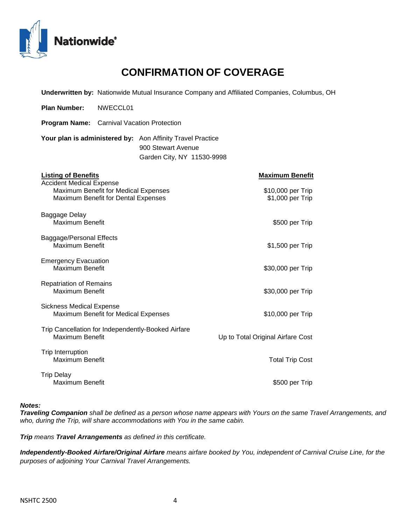

# **CONFIRMATION OF COVERAGE**

**Underwritten by:** Nationwide Mutual Insurance Company and Affiliated Companies, Columbus, OH

**Plan Number:** NWECCL01

**Program Name:** Carnival Vacation Protection

**Your plan is administered by:** Aon Affinity Travel Practice 900 Stewart Avenue Garden City, NY 11530-9998

| <b>Listing of Benefits</b>                                                                                     | <b>Maximum Benefit</b>                |
|----------------------------------------------------------------------------------------------------------------|---------------------------------------|
| <b>Accident Medical Expense</b><br>Maximum Benefit for Medical Expenses<br>Maximum Benefit for Dental Expenses | \$10,000 per Trip<br>\$1,000 per Trip |
| Baggage Delay<br>Maximum Benefit                                                                               | \$500 per Trip                        |
| Baggage/Personal Effects<br>Maximum Benefit                                                                    | \$1,500 per Trip                      |
| <b>Emergency Evacuation</b><br>Maximum Benefit                                                                 | \$30,000 per Trip                     |
| <b>Repatriation of Remains</b><br>Maximum Benefit                                                              | \$30,000 per Trip                     |
| <b>Sickness Medical Expense</b><br>Maximum Benefit for Medical Expenses                                        | \$10,000 per Trip                     |
| Trip Cancellation for Independently-Booked Airfare<br>Maximum Benefit                                          | Up to Total Original Airfare Cost     |
| <b>Trip Interruption</b><br>Maximum Benefit                                                                    | <b>Total Trip Cost</b>                |
| <b>Trip Delay</b><br>Maximum Benefit                                                                           | \$500 per Trip                        |

#### *Notes:*

*Traveling Companion shall be defined as a person whose name appears with Yours on the same Travel Arrangements, and who, during the Trip, will share accommodations with You in the same cabin.*

*Trip means Travel Arrangements as defined in this certificate.*

*Independently-Booked Airfare/Original Airfare means airfare booked by You, independent of Carnival Cruise Line, for the purposes of adjoining Your Carnival Travel Arrangements.*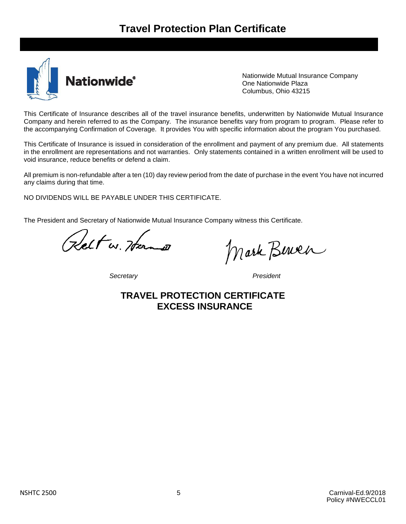

Nationwide Mutual Insurance Company One Nationwide Plaza Columbus, Ohio 43215

This Certificate of Insurance describes all of the travel insurance benefits, underwritten by Nationwide Mutual Insurance Company and herein referred to as the Company. The insurance benefits vary from program to program. Please refer to the accompanying Confirmation of Coverage. It provides You with specific information about the program You purchased.

This Certificate of Insurance is issued in consideration of the enrollment and payment of any premium due. All statements in the enrollment are representations and not warranties. Only statements contained in a written enrollment will be used to void insurance, reduce benefits or defend a claim.

All premium is non-refundable after a ten (10) day review period from the date of purchase in the event You have not incurred any claims during that time.

NO DIVIDENDS WILL BE PAYABLE UNDER THIS CERTIFICATE.

The President and Secretary of Nationwide Mutual Insurance Company witness this Certificate.

Kelt w. Hern

*Secretary President*

Mark Bewer

**TRAVEL PROTECTION CERTIFICATE EXCESS INSURANCE**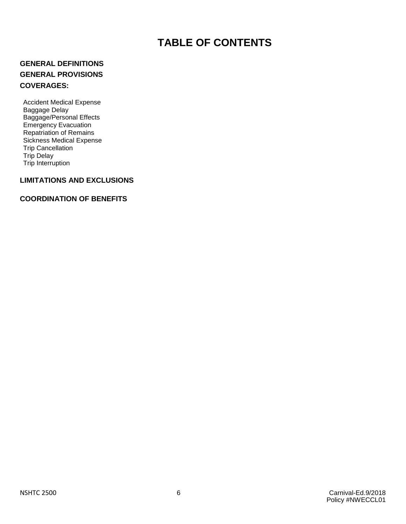# **TABLE OF CONTENTS**

# **GENERAL DEFINITIONS GENERAL PROVISIONS COVERAGES:**

Accident Medical Expense Baggage Delay Baggage/Personal Effects Emergency Evacuation **Repatriation of Remains** Sickness Medical Expense Trip Cancellation Trip Delay Trip Interruption

# **LIMITATIONS AND EXCLUSIONS**

# **COORDINATION OF BENEFITS**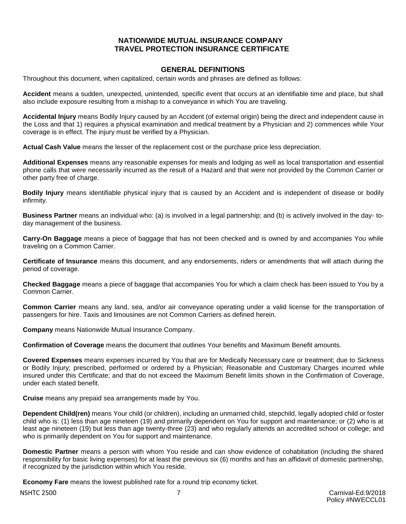# **NATIONWIDE MUTUAL INSURANCE COMPANY TRAVEL PROTECTION INSURANCE CERTIFICATE**

# **GENERAL DEFINITIONS**

Throughout this document, when capitalized, certain words and phrases are defined as follows:

**Accident** means a sudden, unexpected, unintended, specific event that occurs at an identifiable time and place, but shall also include exposure resulting from a mishap to a conveyance in which You are traveling.

**Accidental Injury** means Bodily Injury caused by an Accident (of external origin) being the direct and independent cause in the Loss and that 1) requires a physical examination and medical treatment by a Physician and 2) commences while Your coverage is in effect. The injury must be verified by a Physician.

**Actual Cash Value** means the lesser of the replacement cost or the purchase price less depreciation.

**Additional Expenses** means any reasonable expenses for meals and lodging as well as local transportation and essential phone calls that were necessarily incurred as the result of a Hazard and that were not provided by the Common Carrier or other party free of charge.

**Bodily Injury** means identifiable physical injury that is caused by an Accident and is independent of disease or bodily infirmity.

**Business Partner** means an individual who: (a) is involved in a legal partnership; and (b) is actively involved in the day- today management of the business.

**Carry-On Baggage** means a piece of baggage that has not been checked and is owned by and accompanies You while traveling on a Common Carrier.

**Certificate of Insurance** means this document, and any endorsements, riders or amendments that will attach during the period of coverage.

**Checked Baggage** means a piece of baggage that accompanies You for which a claim check has been issued to You by a Common Carrier.

**Common Carrier** means any land, sea, and/or air conveyance operating under a valid license for the transportation of passengers for hire. Taxis and limousines are not Common Carriers as defined herein.

**Company** means Nationwide Mutual Insurance Company.

**Confirmation of Coverage** means the document that outlines Your benefits and Maximum Benefit amounts.

**Covered Expenses** means expenses incurred by You that are for Medically Necessary care or treatment; due to Sickness or Bodily Injury; prescribed, performed or ordered by a Physician; Reasonable and Customary Charges incurred while insured under this Certificate; and that do not exceed the Maximum Benefit limits shown in the Confirmation of Coverage, under each stated benefit.

**Cruise** means any prepaid sea arrangements made by You.

**Dependent Child(ren)** means Your child (or children), including an unmarried child, stepchild, legally adopted child or foster child who is: (1) less than age nineteen (19) and primarily dependent on You for support and maintenance; or (2) who is at least age nineteen (19) but less than age twenty-three (23) and who regularly attends an accredited school or college; and who is primarily dependent on You for support and maintenance.

**Domestic Partner** means a person with whom You reside and can show evidence of cohabitation (including the shared responsibility for basic living expenses) for at least the previous six (6) months and has an affidavit of domestic partnership, if recognized by the jurisdiction within which You reside.

**Economy Fare** means the lowest published rate for a round trip economy ticket.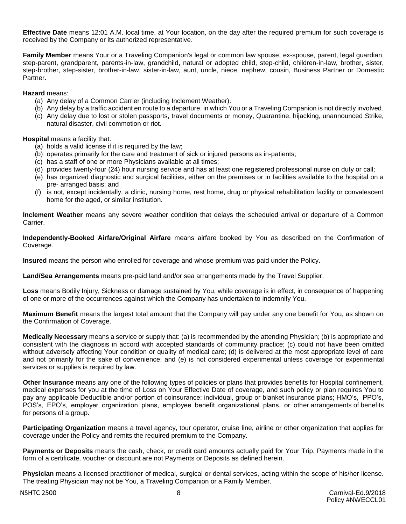**Effective Date** means 12:01 A.M. local time, at Your location, on the day after the required premium for such coverage is received by the Company or its authorized representative.

**Family Member** means Your or a Traveling Companion's legal or common law spouse, ex-spouse, parent, legal guardian, step-parent, grandparent, parents-in-law, grandchild, natural or adopted child, step-child, children-in-law, brother, sister, step-brother, step-sister, brother-in-law, sister-in-law, aunt, uncle, niece, nephew, cousin, Business Partner or Domestic Partner.

**Hazard** means:

- (a) Any delay of a Common Carrier (including Inclement Weather).
- (b) Any delay by a traffic accident en route to a departure, in which You or a Traveling Companion is not directly involved.
- (c) Any delay due to lost or stolen passports, travel documents or money, Quarantine, hijacking, unannounced Strike, natural disaster, civil commotion or riot.

**Hospital** means a facility that:

- (a) holds a valid license if it is required by the law;
- (b) operates primarily for the care and treatment of sick or injured persons as in-patients;
- (c) has a staff of one or more Physicians available at all times;
- (d) provides twenty-four (24) hour nursing service and has at least one registered professional nurse on duty or call;
- (e) has organized diagnostic and surgical facilities, either on the premises or in facilities available to the hospital on a pre- arranged basis; and
- (f) is not, except incidentally, a clinic, nursing home, rest home, drug or physical rehabilitation facility or convalescent home for the aged, or similar institution.

**Inclement Weather** means any severe weather condition that delays the scheduled arrival or departure of a Common Carrier.

**Independently-Booked Airfare/Original Airfare** means airfare booked by You as described on the Confirmation of Coverage.

**Insured** means the person who enrolled for coverage and whose premium was paid under the Policy.

**Land/Sea Arrangements** means pre-paid land and/or sea arrangements made by the Travel Supplier.

**Loss** means Bodily Injury, Sickness or damage sustained by You, while coverage is in effect, in consequence of happening of one or more of the occurrences against which the Company has undertaken to indemnify You.

**Maximum Benefit** means the largest total amount that the Company will pay under any one benefit for You, as shown on the Confirmation of Coverage.

**Medically Necessary** means a service or supply that: (a) is recommended by the attending Physician; (b) is appropriate and consistent with the diagnosis in accord with accepted standards of community practice; (c) could not have been omitted without adversely affecting Your condition or quality of medical care; (d) is delivered at the most appropriate level of care and not primarily for the sake of convenience; and (e) is not considered experimental unless coverage for experimental services or supplies is required by law.

**Other Insurance** means any one of the following types of policies or plans that provides benefits for Hospital confinement, medical expenses for you at the time of Loss on Your Effective Date of coverage, and such policy or plan requires You to pay any applicable Deductible and/or portion of coinsurance: individual, group or blanket insurance plans; HMO's, PPO's, POS's, EPO's, employer organization plans, employee benefit organizational plans, or other arrangements of benefits for persons of a group.

**Participating Organization** means a travel agency, tour operator, cruise line, airline or other organization that applies for coverage under the Policy and remits the required premium to the Company.

**Payments or Deposits** means the cash, check, or credit card amounts actually paid for Your Trip. Payments made in the form of a certificate, voucher or discount are not Payments or Deposits as defined herein.

**Physician** means a licensed practitioner of medical, surgical or dental services, acting within the scope of his/her license. The treating Physician may not be You, a Traveling Companion or a Family Member.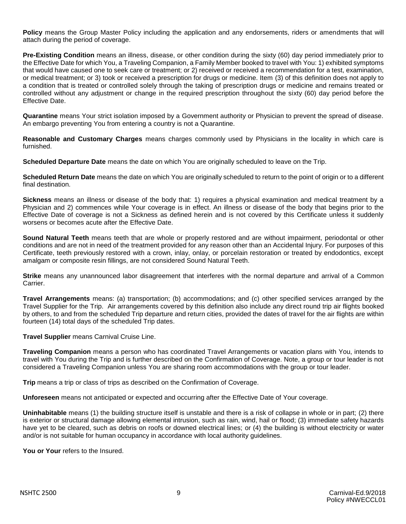**Policy** means the Group Master Policy including the application and any endorsements, riders or amendments that will attach during the period of coverage.

**Pre-Existing Condition** means an illness, disease, or other condition during the sixty (60) day period immediately prior to the Effective Date for which You, a Traveling Companion, a Family Member booked to travel with You: 1) exhibited symptoms that would have caused one to seek care or treatment; or 2) received or received a recommendation for a test, examination, or medical treatment; or 3) took or received a prescription for drugs or medicine. Item (3) of this definition does not apply to a condition that is treated or controlled solely through the taking of prescription drugs or medicine and remains treated or controlled without any adjustment or change in the required prescription throughout the sixty (60) day period before the Effective Date.

**Quarantine** means Your strict isolation imposed by a Government authority or Physician to prevent the spread of disease. An embargo preventing You from entering a country is not a Quarantine.

**Reasonable and Customary Charges** means charges commonly used by Physicians in the locality in which care is furnished.

**Scheduled Departure Date** means the date on which You are originally scheduled to leave on the Trip.

**Scheduled Return Date** means the date on which You are originally scheduled to return to the point of origin or to a different final destination.

**Sickness** means an illness or disease of the body that: 1) requires a physical examination and medical treatment by a Physician and 2) commences while Your coverage is in effect. An illness or disease of the body that begins prior to the Effective Date of coverage is not a Sickness as defined herein and is not covered by this Certificate unless it suddenly worsens or becomes acute after the Effective Date.

**Sound Natural Teeth** means teeth that are whole or properly restored and are without impairment, periodontal or other conditions and are not in need of the treatment provided for any reason other than an Accidental Injury. For purposes of this Certificate, teeth previously restored with a crown, inlay, onlay, or porcelain restoration or treated by endodontics, except amalgam or composite resin fillings, are not considered Sound Natural Teeth.

**Strike** means any unannounced labor disagreement that interferes with the normal departure and arrival of a Common Carrier.

**Travel Arrangements** means: (a) transportation; (b) accommodations; and (c) other specified services arranged by the Travel Supplier for the Trip. Air arrangements covered by this definition also include any direct round trip air flights booked by others, to and from the scheduled Trip departure and return cities, provided the dates of travel for the air flights are within fourteen (14) total days of the scheduled Trip dates.

**Travel Supplier** means Carnival Cruise Line.

**Traveling Companion** means a person who has coordinated Travel Arrangements or vacation plans with You, intends to travel with You during the Trip and is further described on the Confirmation of Coverage. Note, a group or tour leader is not considered a Traveling Companion unless You are sharing room accommodations with the group or tour leader.

**Trip** means a trip or class of trips as described on the Confirmation of Coverage.

**Unforeseen** means not anticipated or expected and occurring after the Effective Date of Your coverage.

**Uninhabitable** means (1) the building structure itself is unstable and there is a risk of collapse in whole or in part; (2) there is exterior or structural damage allowing elemental intrusion, such as rain, wind, hail or flood; (3) immediate safety hazards have yet to be cleared, such as debris on roofs or downed electrical lines; or (4) the building is without electricity or water and/or is not suitable for human occupancy in accordance with local authority guidelines.

**You or Your** refers to the Insured.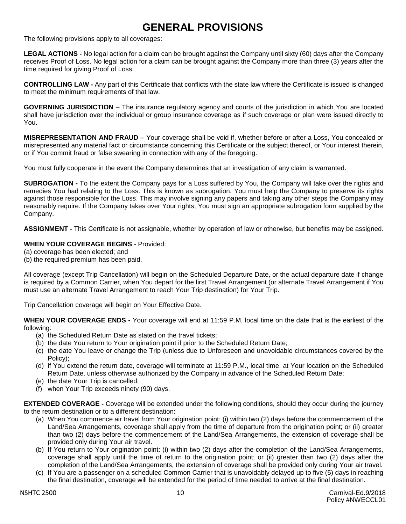# **GENERAL PROVISIONS**

The following provisions apply to all coverages:

**LEGAL ACTIONS -** No legal action for a claim can be brought against the Company until sixty (60) days after the Company receives Proof of Loss. No legal action for a claim can be brought against the Company more than three (3) years after the time required for giving Proof of Loss.

**CONTROLLING LAW -** Any part of this Certificate that conflicts with the state law where the Certificate is issued is changed to meet the minimum requirements of that law.

**GOVERNING JURISDICTION** – The insurance regulatory agency and courts of the jurisdiction in which You are located shall have jurisdiction over the individual or group insurance coverage as if such coverage or plan were issued directly to You.

**MISREPRESENTATION AND FRAUD –** Your coverage shall be void if, whether before or after a Loss, You concealed or misrepresented any material fact or circumstance concerning this Certificate or the subject thereof, or Your interest therein, or if You commit fraud or false swearing in connection with any of the foregoing.

You must fully cooperate in the event the Company determines that an investigation of any claim is warranted.

**SUBROGATION -** To the extent the Company pays for a Loss suffered by You, the Company will take over the rights and remedies You had relating to the Loss. This is known as subrogation. You must help the Company to preserve its rights against those responsible for the Loss. This may involve signing any papers and taking any other steps the Company may reasonably require. If the Company takes over Your rights, You must sign an appropriate subrogation form supplied by the Company.

**ASSIGNMENT -** This Certificate is not assignable, whether by operation of law or otherwise, but benefits may be assigned.

#### **WHEN YOUR COVERAGE BEGINS** - Provided:

- (a) coverage has been elected; and
- (b) the required premium has been paid.

All coverage (except Trip Cancellation) will begin on the Scheduled Departure Date, or the actual departure date if change is required by a Common Carrier, when You depart for the first Travel Arrangement (or alternate Travel Arrangement if You must use an alternate Travel Arrangement to reach Your Trip destination) for Your Trip.

Trip Cancellation coverage will begin on Your Effective Date.

**WHEN YOUR COVERAGE ENDS -** Your coverage will end at 11:59 P.M. local time on the date that is the earliest of the following:

- (a) the Scheduled Return Date as stated on the travel tickets;
- (b) the date You return to Your origination point if prior to the Scheduled Return Date;
- (c) the date You leave or change the Trip (unless due to Unforeseen and unavoidable circumstances covered by the Policy);
- (d) if You extend the return date, coverage will terminate at 11:59 P.M., local time, at Your location on the Scheduled Return Date, unless otherwise authorized by the Company in advance of the Scheduled Return Date;
- (e) the date Your Trip is cancelled;
- (f) when Your Trip exceeds ninety (90) days.

**EXTENDED COVERAGE -** Coverage will be extended under the following conditions, should they occur during the journey to the return destination or to a different destination:

- (a) When You commence air travel from Your origination point: (i) within two (2) days before the commencement of the Land/Sea Arrangements, coverage shall apply from the time of departure from the origination point; or (ii) greater than two (2) days before the commencement of the Land/Sea Arrangements, the extension of coverage shall be provided only during Your air travel.
- (b) If You return to Your origination point: (i) within two (2) days after the completion of the Land/Sea Arrangements, coverage shall apply until the time of return to the origination point; or (ii) greater than two (2) days after the completion of the Land/Sea Arrangements, the extension of coverage shall be provided only during Your air travel.
- (c) If You are a passenger on a scheduled Common Carrier that is unavoidably delayed up to five (5) days in reaching the final destination, coverage will be extended for the period of time needed to arrive at the final destination.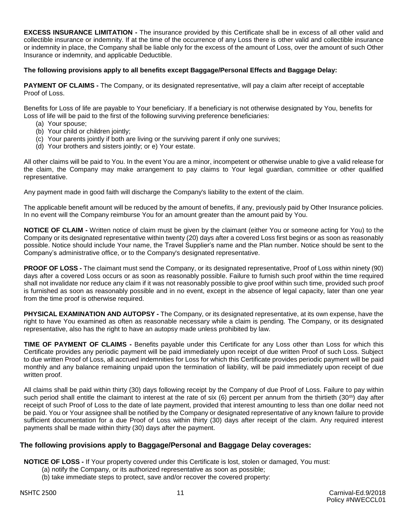**EXCESS INSURANCE LIMITATION -** The insurance provided by this Certificate shall be in excess of all other valid and collectible insurance or indemnity. If at the time of the occurrence of any Loss there is other valid and collectible insurance or indemnity in place, the Company shall be liable only for the excess of the amount of Loss, over the amount of such Other Insurance or indemnity, and applicable Deductible.

#### **The following provisions apply to all benefits except Baggage/Personal Effects and Baggage Delay:**

**PAYMENT OF CLAIMS -** The Company, or its designated representative, will pay a claim after receipt of acceptable Proof of Loss.

Benefits for Loss of life are payable to Your beneficiary. If a beneficiary is not otherwise designated by You, benefits for Loss of life will be paid to the first of the following surviving preference beneficiaries:

- (a) Your spouse;
- (b) Your child or children jointly;
- (c) Your parents jointly if both are living or the surviving parent if only one survives;
- (d) Your brothers and sisters jointly; or e) Your estate.

All other claims will be paid to You. In the event You are a minor, incompetent or otherwise unable to give a valid release for the claim, the Company may make arrangement to pay claims to Your legal guardian, committee or other qualified representative.

Any payment made in good faith will discharge the Company's liability to the extent of the claim.

The applicable benefit amount will be reduced by the amount of benefits, if any, previously paid by Other Insurance policies. In no event will the Company reimburse You for an amount greater than the amount paid by You.

**NOTICE OF CLAIM -** Written notice of claim must be given by the claimant (either You or someone acting for You) to the Company or its designated representative within twenty (20) days after a covered Loss first begins or as soon as reasonably possible. Notice should include Your name, the Travel Supplier's name and the Plan number. Notice should be sent to the Company's administrative office, or to the Company's designated representative.

**PROOF OF LOSS -** The claimant must send the Company, or its designated representative, Proof of Loss within ninety (90) days after a covered Loss occurs or as soon as reasonably possible. Failure to furnish such proof within the time required shall not invalidate nor reduce any claim if it was not reasonably possible to give proof within such time, provided such proof is furnished as soon as reasonably possible and in no event, except in the absence of legal capacity, later than one year from the time proof is otherwise required.

**PHYSICAL EXAMINATION AND AUTOPSY -** The Company, or its designated representative, at its own expense, have the right to have You examined as often as reasonable necessary while a claim is pending. The Company, or its designated representative, also has the right to have an autopsy made unless prohibited by law.

**TIME OF PAYMENT OF CLAIMS -** Benefits payable under this Certificate for any Loss other than Loss for which this Certificate provides any periodic payment will be paid immediately upon receipt of due written Proof of such Loss. Subject to due written Proof of Loss, all accrued indemnities for Loss for which this Certificate provides periodic payment will be paid monthly and any balance remaining unpaid upon the termination of liability, will be paid immediately upon receipt of due written proof.

All claims shall be paid within thirty (30) days following receipt by the Company of due Proof of Loss. Failure to pay within such period shall entitle the claimant to interest at the rate of six (6) percent per annum from the thirtieth (30<sup>th</sup>) day after receipt of such Proof of Loss to the date of late payment, provided that interest amounting to less than one dollar need not be paid. You or Your assignee shall be notified by the Company or designated representative of any known failure to provide sufficient documentation for a due Proof of Loss within thirty (30) days after receipt of the claim. Any required interest payments shall be made within thirty (30) days after the payment.

# **The following provisions apply to Baggage/Personal and Baggage Delay coverages:**

**NOTICE OF LOSS -** If Your property covered under this Certificate is lost, stolen or damaged, You must:

- (a) notify the Company, or its authorized representative as soon as possible;
- (b) take immediate steps to protect, save and/or recover the covered property: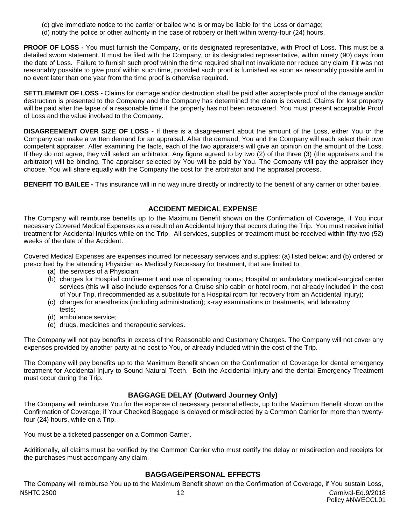- (c) give immediate notice to the carrier or bailee who is or may be liable for the Loss or damage;
- (d) notify the police or other authority in the case of robbery or theft within twenty-four (24) hours.

**PROOF OF LOSS -** You must furnish the Company, or its designated representative, with Proof of Loss. This must be a detailed sworn statement. It must be filed with the Company, or its designated representative, within ninety (90) days from the date of Loss. Failure to furnish such proof within the time required shall not invalidate nor reduce any claim if it was not reasonably possible to give proof within such time, provided such proof is furnished as soon as reasonably possible and in no event later than one year from the time proof is otherwise required.

**SETTLEMENT OF LOSS -** Claims for damage and/or destruction shall be paid after acceptable proof of the damage and/or destruction is presented to the Company and the Company has determined the claim is covered. Claims for lost property will be paid after the lapse of a reasonable time if the property has not been recovered. You must present acceptable Proof of Loss and the value involved to the Company.

**DISAGREEMENT OVER SIZE OF LOSS -** If there is a disagreement about the amount of the Loss, either You or the Company can make a written demand for an appraisal. After the demand, You and the Company will each select their own competent appraiser. After examining the facts, each of the two appraisers will give an opinion on the amount of the Loss. If they do not agree, they will select an arbitrator. Any figure agreed to by two (2) of the three (3) (the appraisers and the arbitrator) will be binding. The appraiser selected by You will be paid by You. The Company will pay the appraiser they choose. You will share equally with the Company the cost for the arbitrator and the appraisal process.

**BENEFIT TO BAILEE -** This insurance will in no way inure directly or indirectly to the benefit of any carrier or other bailee.

# **ACCIDENT MEDICAL EXPENSE**

The Company will reimburse benefits up to the Maximum Benefit shown on the Confirmation of Coverage, if You incur necessary Covered Medical Expenses as a result of an Accidental Injury that occurs during the Trip. You must receive initial treatment for Accidental Injuries while on the Trip. All services, supplies or treatment must be received within fifty-two (52) weeks of the date of the Accident.

Covered Medical Expenses are expenses incurred for necessary services and supplies: (a) listed below; and (b) ordered or prescribed by the attending Physician as Medically Necessary for treatment, that are limited to:

- (a) the services of a Physician;
- (b) charges for Hospital confinement and use of operating rooms; Hospital or ambulatory medical-surgical center services (this will also include expenses for a Cruise ship cabin or hotel room, not already included in the cost of Your Trip, if recommended as a substitute for a Hospital room for recovery from an Accidental Injury);
- (c) charges for anesthetics (including administration); x-ray examinations or treatments, and laboratory
- tests;
- (d) ambulance service;
- (e) drugs, medicines and therapeutic services.

The Company will not pay benefits in excess of the Reasonable and Customary Charges. The Company will not cover any expenses provided by another party at no cost to You, or already included within the cost of the Trip.

The Company will pay benefits up to the Maximum Benefit shown on the Confirmation of Coverage for dental emergency treatment for Accidental Injury to Sound Natural Teeth. Both the Accidental Injury and the dental Emergency Treatment must occur during the Trip.

# **BAGGAGE DELAY (Outward Journey Only)**

The Company will reimburse You for the expense of necessary personal effects, up to the Maximum Benefit shown on the Confirmation of Coverage, if Your Checked Baggage is delayed or misdirected by a Common Carrier for more than twentyfour (24) hours, while on a Trip.

You must be a ticketed passenger on a Common Carrier.

Additionally, all claims must be verified by the Common Carrier who must certify the delay or misdirection and receipts for the purchases must accompany any claim.

# **BAGGAGE/PERSONAL EFFECTS**

NSHTC 2500 12 Carnival-Ed.9/2018 The Company will reimburse You up to the Maximum Benefit shown on the Confirmation of Coverage, if You sustain Loss,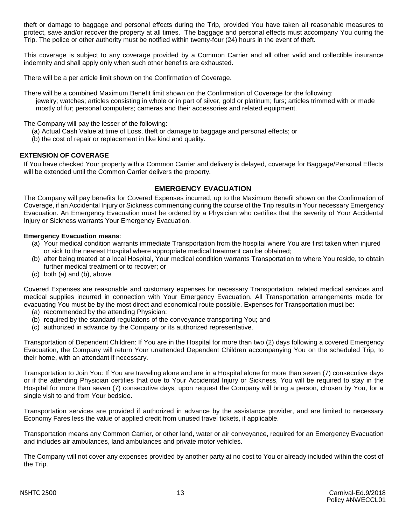theft or damage to baggage and personal effects during the Trip, provided You have taken all reasonable measures to protect, save and/or recover the property at all times. The baggage and personal effects must accompany You during the Trip. The police or other authority must be notified within twenty-four (24) hours in the event of theft.

This coverage is subject to any coverage provided by a Common Carrier and all other valid and collectible insurance indemnity and shall apply only when such other benefits are exhausted.

There will be a per article limit shown on the Confirmation of Coverage.

There will be a combined Maximum Benefit limit shown on the Confirmation of Coverage for the following: jewelry; watches; articles consisting in whole or in part of silver, gold or platinum; furs; articles trimmed with or made mostly of fur; personal computers; cameras and their accessories and related equipment.

#### The Company will pay the lesser of the following:

- (a) Actual Cash Value at time of Loss, theft or damage to baggage and personal effects; or
- (b) the cost of repair or replacement in like kind and quality.

#### **EXTENSION OF COVERAGE**

If You have checked Your property with a Common Carrier and delivery is delayed, coverage for Baggage/Personal Effects will be extended until the Common Carrier delivers the property.

# **EMERGENCY EVACUATION**

The Company will pay benefits for Covered Expenses incurred, up to the Maximum Benefit shown on the Confirmation of Coverage, if an Accidental Injury or Sickness commencing during the course of the Trip results in Your necessary Emergency Evacuation. An Emergency Evacuation must be ordered by a Physician who certifies that the severity of Your Accidental Injury or Sickness warrants Your Emergency Evacuation.

#### **Emergency Evacuation means**:

- (a) Your medical condition warrants immediate Transportation from the hospital where You are first taken when injured or sick to the nearest Hospital where appropriate medical treatment can be obtained;
- (b) after being treated at a local Hospital, Your medical condition warrants Transportation to where You reside, to obtain further medical treatment or to recover; or
- (c) both (a) and (b), above.

Covered Expenses are reasonable and customary expenses for necessary Transportation, related medical services and medical supplies incurred in connection with Your Emergency Evacuation. All Transportation arrangements made for evacuating You must be by the most direct and economical route possible. Expenses for Transportation must be:

- (a) recommended by the attending Physician;
- (b) required by the standard regulations of the conveyance transporting You; and
- (c) authorized in advance by the Company or its authorized representative.

Transportation of Dependent Children: If You are in the Hospital for more than two (2) days following a covered Emergency Evacuation, the Company will return Your unattended Dependent Children accompanying You on the scheduled Trip, to their home, with an attendant if necessary.

Transportation to Join You: If You are traveling alone and are in a Hospital alone for more than seven (7) consecutive days or if the attending Physician certifies that due to Your Accidental Injury or Sickness, You will be required to stay in the Hospital for more than seven (7) consecutive days, upon request the Company will bring a person, chosen by You, for a single visit to and from Your bedside.

Transportation services are provided if authorized in advance by the assistance provider, and are limited to necessary Economy Fares less the value of applied credit from unused travel tickets, if applicable.

Transportation means any Common Carrier, or other land, water or air conveyance, required for an Emergency Evacuation and includes air ambulances, land ambulances and private motor vehicles.

The Company will not cover any expenses provided by another party at no cost to You or already included within the cost of the Trip.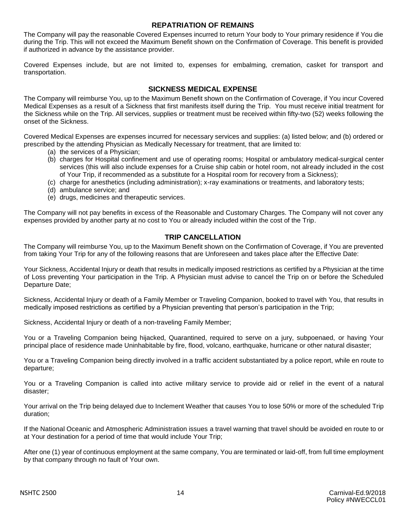# **REPATRIATION OF REMAINS**

The Company will pay the reasonable Covered Expenses incurred to return Your body to Your primary residence if You die during the Trip. This will not exceed the Maximum Benefit shown on the Confirmation of Coverage. This benefit is provided if authorized in advance by the assistance provider.

Covered Expenses include, but are not limited to, expenses for embalming, cremation, casket for transport and transportation.

# **SICKNESS MEDICAL EXPENSE**

The Company will reimburse You, up to the Maximum Benefit shown on the Confirmation of Coverage, if You incur Covered Medical Expenses as a result of a Sickness that first manifests itself during the Trip. You must receive initial treatment for the Sickness while on the Trip. All services, supplies or treatment must be received within fifty-two (52) weeks following the onset of the Sickness.

Covered Medical Expenses are expenses incurred for necessary services and supplies: (a) listed below; and (b) ordered or prescribed by the attending Physician as Medically Necessary for treatment, that are limited to:

- (a) the services of a Physician;
- (b) charges for Hospital confinement and use of operating rooms; Hospital or ambulatory medical-surgical center services (this will also include expenses for a Cruise ship cabin or hotel room, not already included in the cost of Your Trip, if recommended as a substitute for a Hospital room for recovery from a Sickness);
- (c) charge for anesthetics (including administration); x-ray examinations or treatments, and laboratory tests;
- (d) ambulance service; and
- (e) drugs, medicines and therapeutic services.

The Company will not pay benefits in excess of the Reasonable and Customary Charges. The Company will not cover any expenses provided by another party at no cost to You or already included within the cost of the Trip.

# **TRIP CANCELLATION**

The Company will reimburse You, up to the Maximum Benefit shown on the Confirmation of Coverage, if You are prevented from taking Your Trip for any of the following reasons that are Unforeseen and takes place after the Effective Date:

Your Sickness, Accidental Injury or death that results in medically imposed restrictions as certified by a Physician at the time of Loss preventing Your participation in the Trip. A Physician must advise to cancel the Trip on or before the Scheduled Departure Date;

Sickness, Accidental Injury or death of a Family Member or Traveling Companion, booked to travel with You, that results in medically imposed restrictions as certified by a Physician preventing that person's participation in the Trip;

Sickness, Accidental Injury or death of a non-traveling Family Member;

You or a Traveling Companion being hijacked, Quarantined, required to serve on a jury, subpoenaed, or having Your principal place of residence made Uninhabitable by fire, flood, volcano, earthquake, hurricane or other natural disaster;

You or a Traveling Companion being directly involved in a traffic accident substantiated by a police report, while en route to departure;

You or a Traveling Companion is called into active military service to provide aid or relief in the event of a natural disaster;

Your arrival on the Trip being delayed due to Inclement Weather that causes You to lose 50% or more of the scheduled Trip duration;

If the National Oceanic and Atmospheric Administration issues a travel warning that travel should be avoided en route to or at Your destination for a period of time that would include Your Trip;

After one (1) year of continuous employment at the same company, You are terminated or laid-off, from full time employment by that company through no fault of Your own.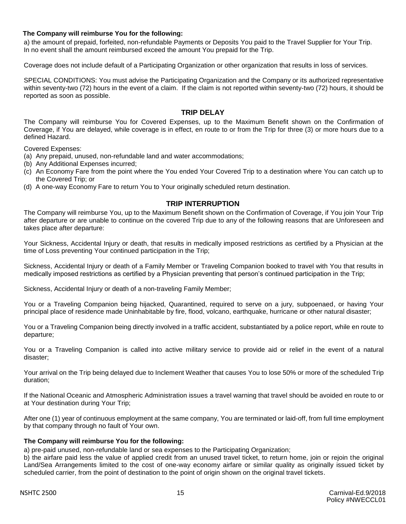#### **The Company will reimburse You for the following:**

a) the amount of prepaid, forfeited, non-refundable Payments or Deposits You paid to the Travel Supplier for Your Trip. In no event shall the amount reimbursed exceed the amount You prepaid for the Trip.

Coverage does not include default of a Participating Organization or other organization that results in loss of services.

SPECIAL CONDITIONS: You must advise the Participating Organization and the Company or its authorized representative within seventy-two (72) hours in the event of a claim. If the claim is not reported within seventy-two (72) hours, it should be reported as soon as possible.

#### **TRIP DELAY**

The Company will reimburse You for Covered Expenses, up to the Maximum Benefit shown on the Confirmation of Coverage, if You are delayed, while coverage is in effect, en route to or from the Trip for three (3) or more hours due to a defined Hazard.

Covered Expenses:

- (a) Any prepaid, unused, non-refundable land and water accommodations;
- (b) Any Additional Expenses incurred;
- (c) An Economy Fare from the point where the You ended Your Covered Trip to a destination where You can catch up to the Covered Trip; or
- (d) A one-way Economy Fare to return You to Your originally scheduled return destination.

#### **TRIP INTERRUPTION**

The Company will reimburse You, up to the Maximum Benefit shown on the Confirmation of Coverage, if You join Your Trip after departure or are unable to continue on the covered Trip due to any of the following reasons that are Unforeseen and takes place after departure:

Your Sickness, Accidental Injury or death, that results in medically imposed restrictions as certified by a Physician at the time of Loss preventing Your continued participation in the Trip;

Sickness, Accidental Injury or death of a Family Member or Traveling Companion booked to travel with You that results in medically imposed restrictions as certified by a Physician preventing that person's continued participation in the Trip;

Sickness, Accidental Injury or death of a non-traveling Family Member;

You or a Traveling Companion being hijacked, Quarantined, required to serve on a jury, subpoenaed, or having Your principal place of residence made Uninhabitable by fire, flood, volcano, earthquake, hurricane or other natural disaster;

You or a Traveling Companion being directly involved in a traffic accident, substantiated by a police report, while en route to departure;

You or a Traveling Companion is called into active military service to provide aid or relief in the event of a natural disaster;

Your arrival on the Trip being delayed due to Inclement Weather that causes You to lose 50% or more of the scheduled Trip duration;

If the National Oceanic and Atmospheric Administration issues a travel warning that travel should be avoided en route to or at Your destination during Your Trip;

After one (1) year of continuous employment at the same company, You are terminated or laid-off, from full time employment by that company through no fault of Your own.

#### **The Company will reimburse You for the following:**

a) pre-paid unused, non-refundable land or sea expenses to the Participating Organization;

b) the airfare paid less the value of applied credit from an unused travel ticket, to return home, join or rejoin the original Land/Sea Arrangements limited to the cost of one-way economy airfare or similar quality as originally issued ticket by scheduled carrier, from the point of destination to the point of origin shown on the original travel tickets.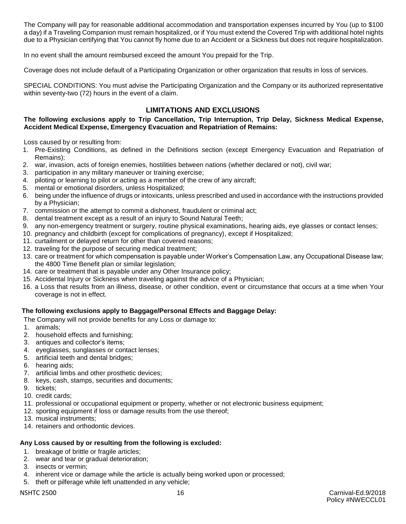The Company will pay for reasonable additional accommodation and transportation expenses incurred by You (up to \$100 a day) if a Traveling Companion must remain hospitalized, or if You must extend the Covered Trip with additional hotel nights due to a Physician certifying that You cannot fly home due to an Accident or a Sickness but does not require hospitalization.

In no event shall the amount reimbursed exceed the amount You prepaid for the Trip.

Coverage does not include default of a Participating Organization or other organization that results in loss of services.

SPECIAL CONDITIONS: You must advise the Participating Organization and the Company or its authorized representative within seventy-two (72) hours in the event of a claim.

# **LIMITATIONS AND EXCLUSIONS**

#### **The following exclusions apply to Trip Cancellation, Trip Interruption, Trip Delay, Sickness Medical Expense, Accident Medical Expense, Emergency Evacuation and Repatriation of Remains:**

Loss caused by or resulting from:

- 1. Pre-Existing Conditions, as defined in the Definitions section (except Emergency Evacuation and Repatriation of Remains);
- 2. war, invasion, acts of foreign enemies, hostilities between nations (whether declared or not), civil war;
- 3. participation in any military maneuver or training exercise;
- 4. piloting or learning to pilot or acting as a member of the crew of any aircraft;
- 5. mental or emotional disorders, unless Hospitalized;
- 6. being under the influence of drugs or intoxicants, unless prescribed and used in accordance with the instructions provided by a Physician;
- 7. commission or the attempt to commit a dishonest, fraudulent or criminal act;
- 8. dental treatment except as a result of an injury to Sound Natural Teeth;
- 9. any non-emergency treatment or surgery, routine physical examinations, hearing aids, eye glasses or contact lenses;
- 10. pregnancy and childbirth (except for complications of pregnancy), except if Hospitalized;
- 11. curtailment or delayed return for other than covered reasons;
- 12. traveling for the purpose of securing medical treatment;
- 13. care or treatment for which compensation is payable under Worker's Compensation Law, any Occupational Disease law; the 4800 Time Benefit plan or similar legislation;
- 14. care or treatment that is payable under any Other Insurance policy;
- 15. Accidental Injury or Sickness when traveling against the advice of a Physician;
- 16. a Loss that results from an illness, disease, or other condition, event or circumstance that occurs at a time when Your coverage is not in effect.

#### **The following exclusions apply to Baggage/Personal Effects and Baggage Delay:**

The Company will not provide benefits for any Loss or damage to:

- 1. animals;
- 2. household effects and furnishing;
- 3. antiques and collector's items;
- 4. eyeglasses, sunglasses or contact lenses;
- 5. artificial teeth and dental bridges;
- 6. hearing aids;
- 7. artificial limbs and other prosthetic devices;
- 8. keys, cash, stamps, securities and documents;
- 9. tickets;
- 10. credit cards;
- 11. professional or occupational equipment or property, whether or not electronic business equipment;
- 12. sporting equipment if loss or damage results from the use thereof;
- 13. musical instruments;
- 14. retainers and orthodontic devices.

#### **Any Loss caused by or resulting from the following is excluded:**

- 1. breakage of brittle or fragile articles;
- 2. wear and tear or gradual deterioration;
- 3. insects or vermin;
- 4. inherent vice or damage while the article is actually being worked upon or processed;
- 5. theft or pilferage while left unattended in any vehicle;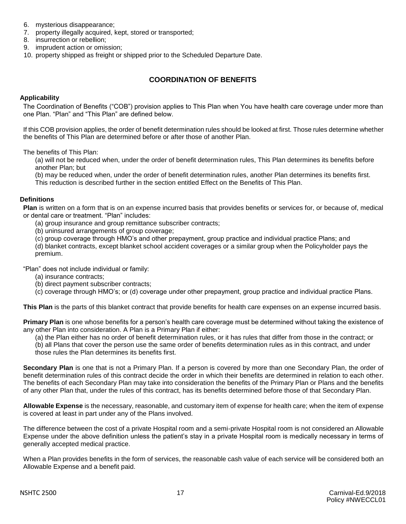- 6. mysterious disappearance;
- 7. property illegally acquired, kept, stored or transported;
- 8. insurrection or rebellion;
- 9. imprudent action or omission;
- 10. property shipped as freight or shipped prior to the Scheduled Departure Date.

# **COORDINATION OF BENEFITS**

#### **Applicability**

The Coordination of Benefits ("COB") provision applies to This Plan when You have health care coverage under more than one Plan. "Plan" and "This Plan" are defined below.

If this COB provision applies, the order of benefit determination rules should be looked at first. Those rules determine whether the benefits of This Plan are determined before or after those of another Plan.

The benefits of This Plan:

(a) will not be reduced when, under the order of benefit determination rules, This Plan determines its benefits before another Plan; but

(b) may be reduced when, under the order of benefit determination rules, another Plan determines its benefits first. This reduction is described further in the section entitled Effect on the Benefits of This Plan.

#### **Definitions**

**Plan** is written on a form that is on an expense incurred basis that provides benefits or services for, or because of, medical or dental care or treatment. "Plan" includes:

(a) group insurance and group remittance subscriber contracts;

- (b) uninsured arrangements of group coverage;
- (c) group coverage through HMO's and other prepayment, group practice and individual practice Plans; and

(d) blanket contracts, except blanket school accident coverages or a similar group when the Policyholder pays the premium.

"Plan" does not include individual or family:

- (a) insurance contracts;
- (b) direct payment subscriber contracts;
- (c) coverage through HMO's; or (d) coverage under other prepayment, group practice and individual practice Plans.

**This Plan** is the parts of this blanket contract that provide benefits for health care expenses on an expense incurred basis.

**Primary Plan** is one whose benefits for a person's health care coverage must be determined without taking the existence of any other Plan into consideration. A Plan is a Primary Plan if either:

(a) the Plan either has no order of benefit determination rules, or it has rules that differ from those in the contract; or

(b) all Plans that cover the person use the same order of benefits determination rules as in this contract, and under those rules the Plan determines its benefits first.

**Secondary Plan** is one that is not a Primary Plan. If a person is covered by more than one Secondary Plan, the order of benefit determination rules of this contract decide the order in which their benefits are determined in relation to each other. The benefits of each Secondary Plan may take into consideration the benefits of the Primary Plan or Plans and the benefits of any other Plan that, under the rules of this contract, has its benefits determined before those of that Secondary Plan.

**Allowable Expense** is the necessary, reasonable, and customary item of expense for health care; when the item of expense is covered at least in part under any of the Plans involved.

The difference between the cost of a private Hospital room and a semi-private Hospital room is not considered an Allowable Expense under the above definition unless the patient's stay in a private Hospital room is medically necessary in terms of generally accepted medical practice.

When a Plan provides benefits in the form of services, the reasonable cash value of each service will be considered both an Allowable Expense and a benefit paid.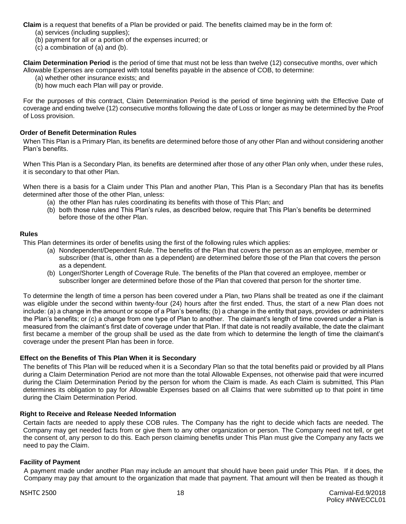**Claim** is a request that benefits of a Plan be provided or paid. The benefits claimed may be in the form of:

- (a) services (including supplies);
- (b) payment for all or a portion of the expenses incurred; or
- (c) a combination of (a) and (b).

**Claim Determination Period** is the period of time that must not be less than twelve (12) consecutive months, over which Allowable Expenses are compared with total benefits payable in the absence of COB, to determine:

(a) whether other insurance exists; and

(b) how much each Plan will pay or provide.

For the purposes of this contract, Claim Determination Period is the period of time beginning with the Effective Date of coverage and ending twelve (12) consecutive months following the date of Loss or longer as may be determined by the Proof of Loss provision.

#### **Order of Benefit Determination Rules**

When This Plan is a Primary Plan, its benefits are determined before those of any other Plan and without considering another Plan's benefits.

When This Plan is a Secondary Plan, its benefits are determined after those of any other Plan only when, under these rules, it is secondary to that other Plan.

When there is a basis for a Claim under This Plan and another Plan, This Plan is a Secondary Plan that has its benefits determined after those of the other Plan, unless:

- (a) the other Plan has rules coordinating its benefits with those of This Plan; and
- (b) both those rules and This Plan's rules, as described below, require that This Plan's benefits be determined before those of the other Plan.

#### **Rules**

This Plan determines its order of benefits using the first of the following rules which applies:

- (a) Nondependent/Dependent Rule. The benefits of the Plan that covers the person as an employee, member or subscriber (that is, other than as a dependent) are determined before those of the Plan that covers the person as a dependent.
- (b) Longer/Shorter Length of Coverage Rule. The benefits of the Plan that covered an employee, member or subscriber longer are determined before those of the Plan that covered that person for the shorter time.

To determine the length of time a person has been covered under a Plan, two Plans shall be treated as one if the claimant was eligible under the second within twenty-four (24) hours after the first ended. Thus, the start of a new Plan does not include: (a) a change in the amount or scope of a Plan's benefits; (b) a change in the entity that pays, provides or administers the Plan's benefits; or (c) a change from one type of Plan to another. The claimant's length of time covered under a Plan is measured from the claimant's first date of coverage under that Plan. If that date is not readily available, the date the claimant first became a member of the group shall be used as the date from which to determine the length of time the claimant's coverage under the present Plan has been in force.

#### **Effect on the Benefits of This Plan When it is Secondary**

The benefits of This Plan will be reduced when it is a Secondary Plan so that the total benefits paid or provided by all Plans during a Claim Determination Period are not more than the total Allowable Expenses, not otherwise paid that were incurred during the Claim Determination Period by the person for whom the Claim is made. As each Claim is submitted, This Plan determines its obligation to pay for Allowable Expenses based on all Claims that were submitted up to that point in time during the Claim Determination Period.

#### **Right to Receive and Release Needed Information**

Certain facts are needed to apply these COB rules. The Company has the right to decide which facts are needed. The Company may get needed facts from or give them to any other organization or person. The Company need not tell, or get the consent of, any person to do this. Each person claiming benefits under This Plan must give the Company any facts we need to pay the Claim.

#### **Facility of Payment**

A payment made under another Plan may include an amount that should have been paid under This Plan. If it does, the Company may pay that amount to the organization that made that payment. That amount will then be treated as though it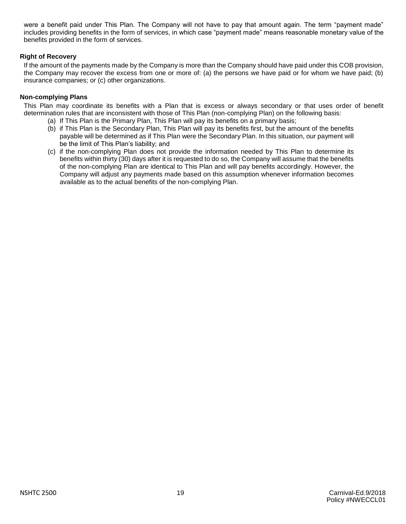were a benefit paid under This Plan. The Company will not have to pay that amount again. The term "payment made" includes providing benefits in the form of services, in which case "payment made" means reasonable monetary value of the benefits provided in the form of services.

#### **Right of Recovery**

If the amount of the payments made by the Company is more than the Company should have paid under this COB provision, the Company may recover the excess from one or more of: (a) the persons we have paid or for whom we have paid; (b) insurance companies; or (c) other organizations.

#### **Non-complying Plans**

This Plan may coordinate its benefits with a Plan that is excess or always secondary or that uses order of benefit determination rules that are inconsistent with those of This Plan (non-complying Plan) on the following basis:

- (a) If This Plan is the Primary Plan, This Plan will pay its benefits on a primary basis;
- (b) if This Plan is the Secondary Plan, This Plan will pay its benefits first, but the amount of the benefits payable will be determined as if This Plan were the Secondary Plan. In this situation, our payment will be the limit of This Plan's liability; and
- (c) if the non-complying Plan does not provide the information needed by This Plan to determine its benefits within thirty (30) days after it is requested to do so, the Company will assume that the benefits of the non-complying Plan are identical to This Plan and will pay benefits accordingly. However, the Company will adjust any payments made based on this assumption whenever information becomes available as to the actual benefits of the non-complying Plan.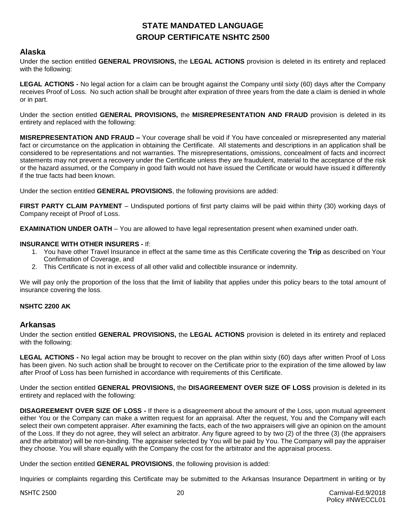# **STATE MANDATED LANGUAGE GROUP CERTIFICATE NSHTC 2500**

# **Alaska**

Under the section entitled **GENERAL PROVISIONS,** the **LEGAL ACTIONS** provision is deleted in its entirety and replaced with the following:

**LEGAL ACTIONS -** No legal action for a claim can be brought against the Company until sixty (60) days after the Company receives Proof of Loss. No such action shall be brought after expiration of three years from the date a claim is denied in whole or in part.

Under the section entitled **GENERAL PROVISIONS,** the **MISREPRESENTATION AND FRAUD** provision is deleted in its entirety and replaced with the following:

**MISREPRESENTATION AND FRAUD –** Your coverage shall be void if You have concealed or misrepresented any material fact or circumstance on the application in obtaining the Certificate. All statements and descriptions in an application shall be considered to be representations and not warranties. The misrepresentations, omissions, concealment of facts and incorrect statements may not prevent a recovery under the Certificate unless they are fraudulent, material to the acceptance of the risk or the hazard assumed, or the Company in good faith would not have issued the Certificate or would have issued it differently if the true facts had been known.

Under the section entitled **GENERAL PROVISIONS**, the following provisions are added:

**FIRST PARTY CLAIM PAYMENT** – Undisputed portions of first party claims will be paid within thirty (30) working days of Company receipt of Proof of Loss.

**EXAMINATION UNDER OATH** – You are allowed to have legal representation present when examined under oath.

#### **INSURANCE WITH OTHER INSURERS -** If:

- 1. You have other Travel Insurance in effect at the same time as this Certificate covering the **Trip** as described on Your Confirmation of Coverage, and
- 2. This Certificate is not in excess of all other valid and collectible insurance or indemnity.

We will pay only the proportion of the loss that the limit of liability that applies under this policy bears to the total amount of insurance covering the loss.

#### **NSHTC 2200 AK**

#### **Arkansas**

Under the section entitled **GENERAL PROVISIONS,** the **LEGAL ACTIONS** provision is deleted in its entirety and replaced with the following:

**LEGAL ACTIONS -** No legal action may be brought to recover on the plan within sixty (60) days after written Proof of Loss has been given. No such action shall be brought to recover on the Certificate prior to the expiration of the time allowed by law after Proof of Loss has been furnished in accordance with requirements of this Certificate.

Under the section entitled **GENERAL PROVISIONS,** the **DISAGREEMENT OVER SIZE OF LOSS** provision is deleted in its entirety and replaced with the following:

**DISAGREEMENT OVER SIZE OF LOSS -** If there is a disagreement about the amount of the Loss, upon mutual agreement either You or the Company can make a written request for an appraisal. After the request, You and the Company will each select their own competent appraiser. After examining the facts, each of the two appraisers will give an opinion on the amount of the Loss. If they do not agree, they will select an arbitrator. Any figure agreed to by two (2) of the three (3) (the appraisers and the arbitrator) will be non-binding. The appraiser selected by You will be paid by You. The Company will pay the appraiser they choose. You will share equally with the Company the cost for the arbitrator and the appraisal process.

Under the section entitled **GENERAL PROVISIONS**, the following provision is added:

Inquiries or complaints regarding this Certificate may be submitted to the Arkansas Insurance Department in writing or by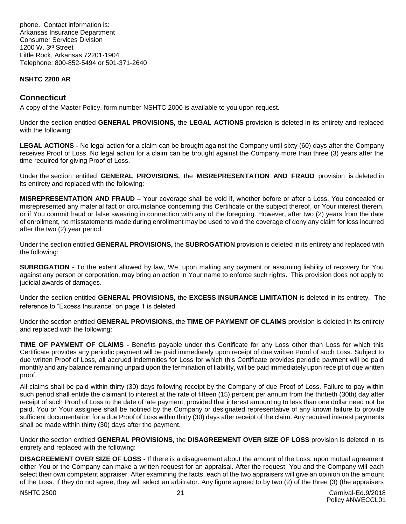phone. Contact information is: Arkansas Insurance Department Consumer Services Division 1200 W. 3rd Street Little Rock, Arkansas 72201-1904 Telephone: 800-852-5494 or 501-371-2640

#### **NSHTC 2200 AR**

# **Connecticut**

A copy of the Master Policy, form number NSHTC 2000 is available to you upon request.

Under the section entitled **GENERAL PROVISIONS,** the **LEGAL ACTIONS** provision is deleted in its entirety and replaced with the following:

**LEGAL ACTIONS -** No legal action for a claim can be brought against the Company until sixty (60) days after the Company receives Proof of Loss. No legal action for a claim can be brought against the Company more than three (3) years after the time required for giving Proof of Loss.

Under the section entitled **GENERAL PROVISIONS,** the **MISREPRESENTATION AND FRAUD** provision is deleted in its entirety and replaced with the following:

**MISREPRESENTATION AND FRAUD –** Your coverage shall be void if, whether before or after a Loss, You concealed or misrepresented any material fact or circumstance concerning this Certificate or the subject thereof, or Your interest therein, or if You commit fraud or false swearing in connection with any of the foregoing. However, after two (2) years from the date of enrollment, no misstatements made during enrollment may be used to void the coverage of deny any claim for loss incurred after the two (2) year period.

Under the section entitled **GENERAL PROVISIONS,** the **SUBROGATION** provision is deleted in its entirety and replaced with the following:

**SUBROGATION** - To the extent allowed by law, We, upon making any payment or assuming liability of recovery for You against any person or corporation, may bring an action in Your name to enforce such rights. This provision does not apply to judicial awards of damages.

Under the section entitled **GENERAL PROVISIONS,** the **EXCESS INSURANCE LIMITATION** is deleted in its entirety. The reference to "Excess Insurance" on page 1 is deleted.

Under the section entitled **GENERAL PROVISIONS,** the **TIME OF PAYMENT OF CLAIMS** provision is deleted in its entirety and replaced with the following:

**TIME OF PAYMENT OF CLAIMS -** Benefits payable under this Certificate for any Loss other than Loss for which this Certificate provides any periodic payment will be paid immediately upon receipt of due written Proof of such Loss. Subject to due written Proof of Loss, all accrued indemnities for Loss for which this Certificate provides periodic payment will be paid monthly and any balance remaining unpaid upon the termination of liability, will be paid immediately upon receipt of due written proof.

All claims shall be paid within thirty (30) days following receipt by the Company of due Proof of Loss. Failure to pay within such period shall entitle the claimant to interest at the rate of fifteen (15) percent per annum from the thirtieth (30th) day after receipt of such Proof of Loss to the date of late payment, provided that interest amounting to less than one dollar need not be paid. You or Your assignee shall be notified by the Company or designated representative of any known failure to provide sufficient documentation for a due Proof of Loss within thirty (30) days after receipt of the claim. Any required interest payments shall be made within thirty (30) days after the payment.

Under the section entitled **GENERAL PROVISIONS,** the **DISAGREEMENT OVER SIZE OF LOSS** provision is deleted in its entirety and replaced with the following:

**DISAGREEMENT OVER SIZE OF LOSS -** If there is a disagreement about the amount of the Loss, upon mutual agreement either You or the Company can make a written request for an appraisal. After the request, You and the Company will each select their own competent appraiser. After examining the facts, each of the two appraisers will give an opinion on the amount of the Loss. If they do not agree, they will select an arbitrator. Any figure agreed to by two (2) of the three (3) (the appraisers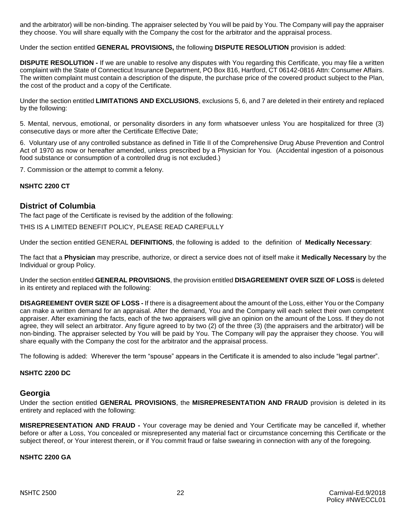and the arbitrator) will be non-binding. The appraiser selected by You will be paid by You. The Company will pay the appraiser they choose. You will share equally with the Company the cost for the arbitrator and the appraisal process.

Under the section entitled **GENERAL PROVISIONS,** the following **DISPUTE RESOLUTION** provision is added:

**DISPUTE RESOLUTION -** If we are unable to resolve any disputes with You regarding this Certificate, you may file a written complaint with the State of Connecticut Insurance Department, PO Box 816, Hartford, CT 06142-0816 Attn: Consumer Affairs. The written complaint must contain a description of the dispute, the purchase price of the covered product subject to the Plan, the cost of the product and a copy of the Certificate.

Under the section entitled **LIMITATIONS AND EXCLUSIONS**, exclusions 5, 6, and 7 are deleted in their entirety and replaced by the following:

5. Mental, nervous, emotional, or personality disorders in any form whatsoever unless You are hospitalized for three (3) consecutive days or more after the Certificate Effective Date;

6. Voluntary use of any controlled substance as defined in Title II of the Comprehensive Drug Abuse Prevention and Control Act of 1970 as now or hereafter amended, unless prescribed by a Physician for You. (Accidental ingestion of a poisonous food substance or consumption of a controlled drug is not excluded.)

7. Commission or the attempt to commit a felony.

#### **NSHTC 2200 CT**

# **District of Columbia**

The fact page of the Certificate is revised by the addition of the following:

THIS IS A LIMITED BENEFIT POLICY, PLEASE READ CAREFULLY

Under the section entitled GENERAL **DEFINITIONS**, the following is added to the definition of **Medically Necessary**:

The fact that a **Physician** may prescribe, authorize, or direct a service does not of itself make it **Medically Necessary** by the Individual or group Policy.

Under the section entitled **GENERAL PROVISIONS**, the provision entitled **DISAGREEMENT OVER SIZE OF LOSS** is deleted in its entirety and replaced with the following:

**DISAGREEMENT OVER SIZE OF LOSS -** If there is a disagreement about the amount of the Loss, either You or the Company can make a written demand for an appraisal. After the demand, You and the Company will each select their own competent appraiser. After examining the facts, each of the two appraisers will give an opinion on the amount of the Loss. If they do not agree, they will select an arbitrator. Any figure agreed to by two (2) of the three (3) (the appraisers and the arbitrator) will be non-binding. The appraiser selected by You will be paid by You. The Company will pay the appraiser they choose. You will share equally with the Company the cost for the arbitrator and the appraisal process.

The following is added: Wherever the term "spouse" appears in the Certificate it is amended to also include "legal partner".

#### **NSHTC 2200 DC**

#### **Georgia**

Under the section entitled **GENERAL PROVISIONS**, the **MISREPRESENTATION AND FRAUD** provision is deleted in its entirety and replaced with the following:

**MISREPRESENTATION AND FRAUD -** Your coverage may be denied and Your Certificate may be cancelled if, whether before or after a Loss, You concealed or misrepresented any material fact or circumstance concerning this Certificate or the subject thereof, or Your interest therein, or if You commit fraud or false swearing in connection with any of the foregoing.

#### **NSHTC 2200 GA**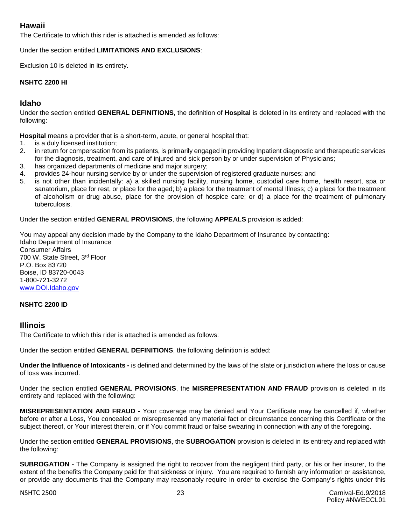# **Hawaii**

The Certificate to which this rider is attached is amended as follows:

#### Under the section entitled **LIMITATIONS AND EXCLUSIONS**:

Exclusion 10 is deleted in its entirety.

#### **NSHTC 2200 HI**

# **Idaho**

Under the section entitled **GENERAL DEFINITIONS**, the definition of **Hospital** is deleted in its entirety and replaced with the following:

**Hospital** means a provider that is a short-term, acute, or general hospital that:

- 1. is a duly licensed institution;
- 2. in return for compensation from its patients, is primarily engaged in providing Inpatient diagnostic and therapeutic services for the diagnosis, treatment, and care of injured and sick person by or under supervision of Physicians;
- 3. has organized departments of medicine and major surgery;
- 4. provides 24-hour nursing service by or under the supervision of registered graduate nurses; and
- 5. is not other than incidentally: a) a skilled nursing facility, nursing home, custodial care home, health resort, spa or sanatorium, place for rest, or place for the aged; b) a place for the treatment of mental Illness; c) a place for the treatment of alcoholism or drug abuse, place for the provision of hospice care; or d) a place for the treatment of pulmonary tuberculosis.

Under the section entitled **GENERAL PROVISIONS**, the following **APPEALS** provision is added:

You may appeal any decision made by the Company to the Idaho Department of Insurance by contacting: Idaho Department of Insurance Consumer Affairs 700 W. State Street, 3rd Floor P.O. Box 83720 Boise, ID 83720-0043 1-800-721-3272 [www.DOI.Idaho.gov](http://www.doi.idaho.gov/)

#### **NSHTC 2200 ID**

#### **Illinois**

The Certificate to which this rider is attached is amended as follows:

Under the section entitled **GENERAL DEFINITIONS**, the following definition is added:

**Under the Influence of Intoxicants -** is defined and determined by the laws of the state or jurisdiction where the loss or cause of loss was incurred.

Under the section entitled **GENERAL PROVISIONS**, the **MISREPRESENTATION AND FRAUD** provision is deleted in its entirety and replaced with the following:

**MISREPRESENTATION AND FRAUD -** Your coverage may be denied and Your Certificate may be cancelled if, whether before or after a Loss, You concealed or misrepresented any material fact or circumstance concerning this Certificate or the subject thereof, or Your interest therein, or if You commit fraud or false swearing in connection with any of the foregoing.

Under the section entitled **GENERAL PROVISIONS**, the **SUBROGATION** provision is deleted in its entirety and replaced with the following:

**SUBROGATION** - The Company is assigned the right to recover from the negligent third party, or his or her insurer, to the extent of the benefits the Company paid for that sickness or injury. You are required to furnish any information or assistance, or provide any documents that the Company may reasonably require in order to exercise the Company's rights under this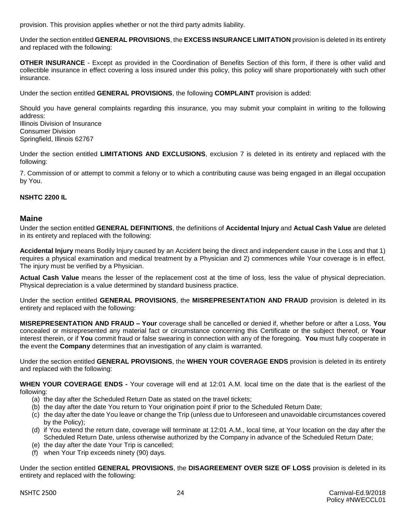provision. This provision applies whether or not the third party admits liability.

Under the section entitled **GENERAL PROVISIONS**, the **EXCESS INSURANCE LIMITATION** provision is deleted in its entirety and replaced with the following:

**OTHER INSURANCE** - Except as provided in the Coordination of Benefits Section of this form, if there is other valid and collectible insurance in effect covering a loss insured under this policy, this policy will share proportionately with such other insurance.

Under the section entitled **GENERAL PROVISIONS**, the following **COMPLAINT** provision is added:

Should you have general complaints regarding this insurance, you may submit your complaint in writing to the following address:

Illinois Division of Insurance Consumer Division Springfield, Illinois 62767

Under the section entitled **LIMITATIONS AND EXCLUSIONS**, exclusion 7 is deleted in its entirety and replaced with the following:

7. Commission of or attempt to commit a felony or to which a contributing cause was being engaged in an illegal occupation by You.

#### **NSHTC 2200 IL**

#### **Maine**

Under the section entitled **GENERAL DEFINITIONS**, the definitions of **Accidental Injury** and **Actual Cash Value** are deleted in its entirety and replaced with the following:

**Accidental Injury** means Bodily Injury caused by an Accident being the direct and independent cause in the Loss and that 1) requires a physical examination and medical treatment by a Physician and 2) commences while Your coverage is in effect. The injury must be verified by a Physician.

**Actual Cash Value** means the lesser of the replacement cost at the time of loss, less the value of physical depreciation. Physical depreciation is a value determined by standard business practice.

Under the section entitled **GENERAL PROVISIONS**, the **MISREPRESENTATION AND FRAUD** provision is deleted in its entirety and replaced with the following:

**MISREPRESENTATION AND FRAUD – Your** coverage shall be cancelled or denied if, whether before or after a Loss, **You** concealed or misrepresented any material fact or circumstance concerning this Certificate or the subject thereof, or **Your** interest therein, or if **You** commit fraud or false swearing in connection with any of the foregoing. **You** must fully cooperate in the event the **Company** determines that an investigation of any claim is warranted.

Under the section entitled **GENERAL PROVISIONS**, the **WHEN YOUR COVERAGE ENDS** provision is deleted in its entirety and replaced with the following:

**WHEN YOUR COVERAGE ENDS -** Your coverage will end at 12:01 A.M. local time on the date that is the earliest of the following:

- (a) the day after the Scheduled Return Date as stated on the travel tickets;
- (b) the day after the date You return to Your origination point if prior to the Scheduled Return Date;
- (c) the day after the date You leave or change the Trip (unless due to Unforeseen and unavoidable circumstances covered by the Policy);
- (d) if You extend the return date, coverage will terminate at 12:01 A.M., local time, at Your location on the day after the Scheduled Return Date, unless otherwise authorized by the Company in advance of the Scheduled Return Date;
- (e) the day after the date Your Trip is cancelled;
- (f) when Your Trip exceeds ninety (90) days.

Under the section entitled **GENERAL PROVISIONS**, the **DISAGREEMENT OVER SIZE OF LOSS** provision is deleted in its entirety and replaced with the following: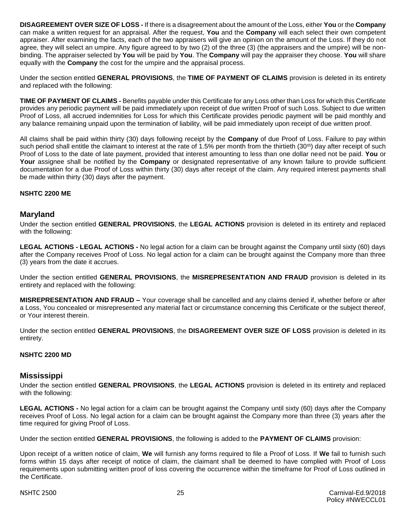**DISAGREEMENT OVER SIZE OF LOSS -** If there is a disagreement about the amount of the Loss, either **You** or the **Company** can make a written request for an appraisal. After the request, **You** and the **Company** will each select their own competent appraiser. After examining the facts, each of the two appraisers will give an opinion on the amount of the Loss. If they do not agree, they will select an umpire. Any figure agreed to by two (2) of the three (3) (the appraisers and the umpire) will be nonbinding. The appraiser selected by **You** will be paid by **You**. The **Company** will pay the appraiser they choose. **You** will share equally with the **Company** the cost for the umpire and the appraisal process.

Under the section entitled **GENERAL PROVISIONS**, the **TIME OF PAYMENT OF CLAIMS** provision is deleted in its entirety and replaced with the following:

**TIME OF PAYMENT OF CLAIMS -** Benefits payable under this Certificate for any Loss other than Loss for which this Certificate provides any periodic payment will be paid immediately upon receipt of due written Proof of such Loss. Subject to due written Proof of Loss, all accrued indemnities for Loss for which this Certificate provides periodic payment will be paid monthly and any balance remaining unpaid upon the termination of liability, will be paid immediately upon receipt of due written proof.

All claims shall be paid within thirty (30) days following receipt by the **Company** of due Proof of Loss. Failure to pay within such period shall entitle the claimant to interest at the rate of 1.5% per month from the thirtieth  $(30<sup>th</sup>)$  day after receipt of such Proof of Loss to the date of late payment, provided that interest amounting to less than one dollar need not be paid. **You** or **Your** assignee shall be notified by the **Company** or designated representative of any known failure to provide sufficient documentation for a due Proof of Loss within thirty (30) days after receipt of the claim. Any required interest payments shall be made within thirty (30) days after the payment.

#### **NSHTC 2200 ME**

# **Maryland**

Under the section entitled **GENERAL PROVISIONS**, the **LEGAL ACTIONS** provision is deleted in its entirety and replaced with the following:

**LEGAL ACTIONS - LEGAL ACTIONS -** No legal action for a claim can be brought against the Company until sixty (60) days after the Company receives Proof of Loss. No legal action for a claim can be brought against the Company more than three (3) years from the date it accrues.

Under the section entitled **GENERAL PROVISIONS**, the **MISREPRESENTATION AND FRAUD** provision is deleted in its entirety and replaced with the following:

**MISREPRESENTATION AND FRAUD –** Your coverage shall be cancelled and any claims denied if, whether before or after a Loss, You concealed or misrepresented any material fact or circumstance concerning this Certificate or the subject thereof, or Your interest therein.

Under the section entitled **GENERAL PROVISIONS**, the **DISAGREEMENT OVER SIZE OF LOSS** provision is deleted in its entirety.

#### **NSHTC 2200 MD**

#### **Mississippi**

Under the section entitled **GENERAL PROVISIONS**, the **LEGAL ACTIONS** provision is deleted in its entirety and replaced with the following:

**LEGAL ACTIONS -** No legal action for a claim can be brought against the Company until sixty (60) days after the Company receives Proof of Loss. No legal action for a claim can be brought against the Company more than three (3) years after the time required for giving Proof of Loss.

Under the section entitled **GENERAL PROVISIONS**, the following is added to the **PAYMENT OF CLAIMS** provision:

Upon receipt of a written notice of claim, **We** will furnish any forms required to file a Proof of Loss. If **We** fail to furnish such forms within 15 days after receipt of notice of claim, the claimant shall be deemed to have complied with Proof of Loss requirements upon submitting written proof of loss covering the occurrence within the timeframe for Proof of Loss outlined in the Certificate.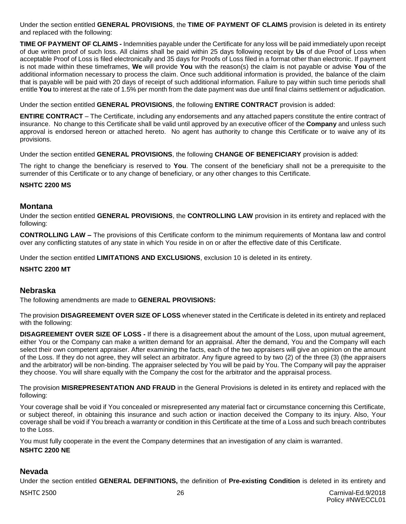Under the section entitled **GENERAL PROVISIONS**, the **TIME OF PAYMENT OF CLAIMS** provision is deleted in its entirety and replaced with the following:

**TIME OF PAYMENT OF CLAIMS -** Indemnities payable under the Certificate for any loss will be paid immediately upon receipt of due written proof of such loss. All claims shall be paid within 25 days following receipt by **Us** of due Proof of Loss when acceptable Proof of Loss is filed electronically and 35 days for Proofs of Loss filed in a format other than electronic. If payment is not made within these timeframes, **We** will provide **You** with the reason(s) the claim is not payable or advise **You** of the additional information necessary to process the claim. Once such additional information is provided, the balance of the claim that is payable will be paid with 20 days of receipt of such additional information. Failure to pay within such time periods shall entitle **You** to interest at the rate of 1.5% per month from the date payment was due until final claims settlement or adjudication.

Under the section entitled **GENERAL PROVISIONS**, the following **ENTIRE CONTRACT** provision is added:

**ENTIRE CONTRACT** – The Certificate, including any endorsements and any attached papers constitute the entire contract of insurance. No change to this Certificate shall be valid until approved by an executive officer of the **Company** and unless such approval is endorsed hereon or attached hereto. No agent has authority to change this Certificate or to waive any of its provisions.

Under the section entitled **GENERAL PROVISIONS**, the following **CHANGE OF BENEFICIARY** provision is added:

The right to change the beneficiary is reserved to **You**. The consent of the beneficiary shall not be a prerequisite to the surrender of this Certificate or to any change of beneficiary, or any other changes to this Certificate.

#### **NSHTC 2200 MS**

# **Montana**

Under the section entitled **GENERAL PROVISIONS**, the **CONTROLLING LAW** provision in its entirety and replaced with the following:

**CONTROLLING LAW –** The provisions of this Certificate conform to the minimum requirements of Montana law and control over any conflicting statutes of any state in which You reside in on or after the effective date of this Certificate.

Under the section entitled **LIMITATIONS AND EXCLUSIONS**, exclusion 10 is deleted in its entirety.

#### **NSHTC 2200 MT**

#### **Nebraska**

The following amendments are made to **GENERAL PROVISIONS:**

The provision **DISAGREEMENT OVER SIZE OF LOSS** whenever stated in the Certificate is deleted in its entirety and replaced with the following:

**DISAGREEMENT OVER SIZE OF LOSS -** If there is a disagreement about the amount of the Loss, upon mutual agreement, either You or the Company can make a written demand for an appraisal. After the demand, You and the Company will each select their own competent appraiser. After examining the facts, each of the two appraisers will give an opinion on the amount of the Loss. If they do not agree, they will select an arbitrator. Any figure agreed to by two (2) of the three (3) (the appraisers and the arbitrator) will be non-binding. The appraiser selected by You will be paid by You. The Company will pay the appraiser they choose. You will share equally with the Company the cost for the arbitrator and the appraisal process.

The provision **MISREPRESENTATION AND FRAUD** in the General Provisions is deleted in its entirety and replaced with the following:

Your coverage shall be void if You concealed or misrepresented any material fact or circumstance concerning this Certificate, or subject thereof, in obtaining this insurance and such action or inaction deceived the Company to its injury. Also, Your coverage shall be void if You breach a warranty or condition in this Certificate at the time of a Loss and such breach contributes to the Loss.

You must fully cooperate in the event the Company determines that an investigation of any claim is warranted. **NSHTC 2200 NE**

#### **Nevada**

Under the section entitled **GENERAL DEFINITIONS,** the definition of **Pre-existing Condition** is deleted in its entirety and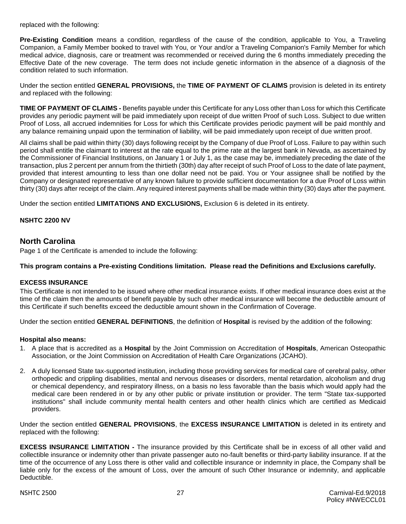replaced with the following:

**Pre-Existing Condition** means a condition, regardless of the cause of the condition, applicable to You, a Traveling Companion, a Family Member booked to travel with You, or Your and/or a Traveling Companion's Family Member for which medical advice, diagnosis, care or treatment was recommended or received during the 6 months immediately preceding the Effective Date of the new coverage. The term does not include genetic information in the absence of a diagnosis of the condition related to such information.

Under the section entitled **GENERAL PROVISIONS,** the **TIME OF PAYMENT OF CLAIMS** provision is deleted in its entirety and replaced with the following:

**TIME OF PAYMENT OF CLAIMS -** Benefits payable under this Certificate for any Loss other than Loss for which this Certificate provides any periodic payment will be paid immediately upon receipt of due written Proof of such Loss. Subject to due written Proof of Loss, all accrued indemnities for Loss for which this Certificate provides periodic payment will be paid monthly and any balance remaining unpaid upon the termination of liability, will be paid immediately upon receipt of due written proof.

All claims shall be paid within thirty (30) days following receipt by the Company of due Proof of Loss. Failure to pay within such period shall entitle the claimant to interest at the rate equal to the prime rate at the largest bank in Nevada, as ascertained by the Commissioner of Financial Institutions, on January 1 or July 1, as the case may be, immediately preceding the date of the transaction, plus 2 percent per annum from the thirtieth (30th) day after receipt of such Proof of Loss to the date of late payment, provided that interest amounting to less than one dollar need not be paid. You or Your assignee shall be notified by the Company or designated representative of any known failure to provide sufficient documentation for a due Proof of Loss within thirty (30) days after receipt of the claim. Any required interest payments shall be made within thirty (30) days after the payment.

Under the section entitled **LIMITATIONS AND EXCLUSIONS,** Exclusion 6 is deleted in its entirety.

#### **NSHTC 2200 NV**

# **North Carolina**

Page 1 of the Certificate is amended to include the following:

#### **This program contains a Pre-existing Conditions limitation. Please read the Definitions and Exclusions carefully.**

#### **EXCESS INSURANCE**

This Certificate is not intended to be issued where other medical insurance exists. If other medical insurance does exist at the time of the claim then the amounts of benefit payable by such other medical insurance will become the deductible amount of this Certificate if such benefits exceed the deductible amount shown in the Confirmation of Coverage.

Under the section entitled **GENERAL DEFINITIONS**, the definition of **Hospital** is revised by the addition of the following:

#### **Hospital also means:**

- 1. A place that is accredited as a **Hospital** by the Joint Commission on Accreditation of **Hospitals**, American Osteopathic Association, or the Joint Commission on Accreditation of Health Care Organizations (JCAHO).
- 2. A duly licensed State tax-supported institution, including those providing services for medical care of cerebral palsy, other orthopedic and crippling disabilities, mental and nervous diseases or disorders, mental retardation, alcoholism and drug or chemical dependency, and respiratory illness, on a basis no less favorable than the basis which would apply had the medical care been rendered in or by any other public or private institution or provider. The term "State tax-supported institutions" shall include community mental health centers and other health clinics which are certified as Medicaid providers.

Under the section entitled **GENERAL PROVISIONS**, the **EXCESS INSURANCE LIMITATION** is deleted in its entirety and replaced with the following:

**EXCESS INSURANCE LIMITATION -** The insurance provided by this Certificate shall be in excess of all other valid and collectible insurance or indemnity other than private passenger auto no-fault benefits or third-party liability insurance. If at the time of the occurrence of any Loss there is other valid and collectible insurance or indemnity in place, the Company shall be liable only for the excess of the amount of Loss, over the amount of such Other Insurance or indemnity, and applicable Deductible.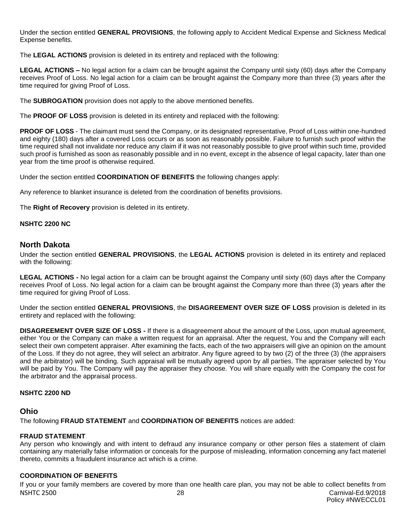Under the section entitled **GENERAL PROVISIONS**, the following apply to Accident Medical Expense and Sickness Medical Expense benefits.

The **LEGAL ACTIONS** provision is deleted in its entirety and replaced with the following:

**LEGAL ACTIONS –** No legal action for a claim can be brought against the Company until sixty (60) days after the Company receives Proof of Loss. No legal action for a claim can be brought against the Company more than three (3) years after the time required for giving Proof of Loss.

The **SUBROGATION** provision does not apply to the above mentioned benefits.

The **PROOF OF LOSS** provision is deleted in its entirety and replaced with the following:

**PROOF OF LOSS** - The claimant must send the Company, or its designated representative, Proof of Loss within one-hundred and eighty (180) days after a covered Loss occurs or as soon as reasonably possible. Failure to furnish such proof within the time required shall not invalidate nor reduce any claim if it was not reasonably possible to give proof within such time, provided such proof is furnished as soon as reasonably possible and in no event, except in the absence of legal capacity, later than one year from the time proof is otherwise required.

Under the section entitled **COORDINATION OF BENEFITS** the following changes apply:

Any reference to blanket insurance is deleted from the coordination of benefits provisions.

The **Right of Recovery** provision is deleted in its entirety.

#### **NSHTC 2200 NC**

# **North Dakota**

Under the section entitled **GENERAL PROVISIONS**, the **LEGAL ACTIONS** provision is deleted in its entirety and replaced with the following:

**LEGAL ACTIONS -** No legal action for a claim can be brought against the Company until sixty (60) days after the Company receives Proof of Loss. No legal action for a claim can be brought against the Company more than three (3) years after the time required for giving Proof of Loss.

Under the section entitled **GENERAL PROVISIONS**, the **DISAGREEMENT OVER SIZE OF LOSS** provision is deleted in its entirety and replaced with the following:

**DISAGREEMENT OVER SIZE OF LOSS -** If there is a disagreement about the amount of the Loss, upon mutual agreement, either You or the Company can make a written request for an appraisal. After the request, You and the Company will each select their own competent appraiser. After examining the facts, each of the two appraisers will give an opinion on the amount of the Loss. If they do not agree, they will select an arbitrator. Any figure agreed to by two (2) of the three (3) (the appraisers and the arbitrator) will be binding. Such appraisal will be mutually agreed upon by all parties. The appraiser selected by You will be paid by You. The Company will pay the appraiser they choose. You will share equally with the Company the cost for the arbitrator and the appraisal process.

#### **NSHTC 2200 ND**

# **Ohio**

The following **FRAUD STATEMENT** and **COORDINATION OF BENEFITS** notices are added:

#### **FRAUD STATEMENT**

Any person who knowingly and with intent to defraud any insurance company or other person files a statement of claim containing any materially false information or conceals for the purpose of misleading, information concerning any fact materiel thereto, commits a fraudulent insurance act which is a crime.

#### **COORDINATION OF BENEFITS**

NSHTC 2500 28 Carnival-Ed.9/2018 Policy #NWECCL01 If you or your family members are covered by more than one health care plan, you may not be able to collect benefits from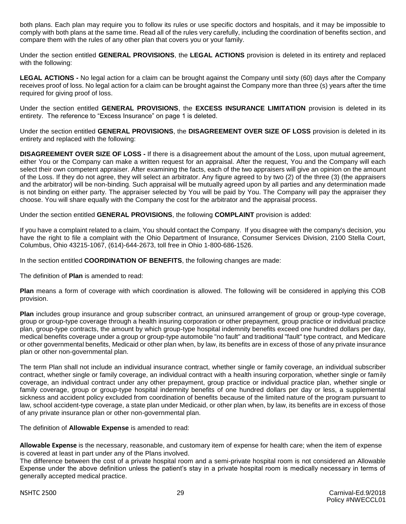both plans. Each plan may require you to follow its rules or use specific doctors and hospitals, and it may be impossible to comply with both plans at the same time. Read all of the rules very carefully, including the coordination of benefits section, and compare them with the rules of any other plan that covers you or your family.

Under the section entitled **GENERAL PROVISIONS**, the **LEGAL ACTIONS** provision is deleted in its entirety and replaced with the following:

**LEGAL ACTIONS -** No legal action for a claim can be brought against the Company until sixty (60) days after the Company receives proof of loss. No legal action for a claim can be brought against the Company more than three (s) years after the time required for giving proof of loss.

Under the section entitled **GENERAL PROVISIONS**, the **EXCESS INSURANCE LIMITATION** provision is deleted in its entirety. The reference to "Excess Insurance" on page 1 is deleted.

Under the section entitled **GENERAL PROVISIONS**, the **DISAGREEMENT OVER SIZE OF LOSS** provision is deleted in its entirety and replaced with the following:

**DISAGREEMENT OVER SIZE OF LOSS -** If there is a disagreement about the amount of the Loss, upon mutual agreement, either You or the Company can make a written request for an appraisal. After the request, You and the Company will each select their own competent appraiser. After examining the facts, each of the two appraisers will give an opinion on the amount of the Loss. If they do not agree, they will select an arbitrator. Any figure agreed to by two (2) of the three (3) (the appraisers and the arbitrator) will be non-binding. Such appraisal will be mutually agreed upon by all parties and any determination made is not binding on either party. The appraiser selected by You will be paid by You. The Company will pay the appraiser they choose. You will share equally with the Company the cost for the arbitrator and the appraisal process.

Under the section entitled **GENERAL PROVISIONS**, the following **COMPLAINT** provision is added:

If you have a complaint related to a claim, You should contact the Company. If you disagree with the company's decision, you have the right to file a complaint with the Ohio Department of Insurance, Consumer Services Division, 2100 Stella Court, Columbus, Ohio 43215-1067, (614)-644-2673, toll free in Ohio 1-800-686-1526.

In the section entitled **COORDINATION OF BENEFITS**, the following changes are made:

The definition of **Plan** is amended to read:

**Plan** means a form of coverage with which coordination is allowed. The following will be considered in applying this COB provision.

**Plan** includes group insurance and group subscriber contract, an uninsured arrangement of group or group-type coverage, group or group-type coverage through a health insuring corporation or other prepayment, group practice or individual practice plan, group-type contracts, the amount by which group-type hospital indemnity benefits exceed one hundred dollars per day, medical benefits coverage under a group or group-type automobile "no fault" and traditional "fault" type contract, and Medicare or other governmental benefits, Medicaid or other plan when, by law, its benefits are in excess of those of any private insurance plan or other non-governmental plan.

The term Plan shall not include an individual insurance contract, whether single or family coverage, an individual subscriber contract, whether single or family coverage, an individual contract with a health insuring corporation, whether single or family coverage, an individual contract under any other prepayment, group practice or individual practice plan, whether single or family coverage, group or group-type hospital indemnity benefits of one hundred dollars per day or less, a supplemental sickness and accident policy excluded from coordination of benefits because of the limited nature of the program pursuant to law, school accident-type coverage, a state plan under Medicaid, or other plan when, by law, its benefits are in excess of those of any private insurance plan or other non-governmental plan.

The definition of **Allowable Expense** is amended to read:

**Allowable Expense** is the necessary, reasonable, and customary item of expense for health care; when the item of expense is covered at least in part under any of the Plans involved.

The difference between the cost of a private hospital room and a semi-private hospital room is not considered an Allowable Expense under the above definition unless the patient's stay in a private hospital room is medically necessary in terms of generally accepted medical practice.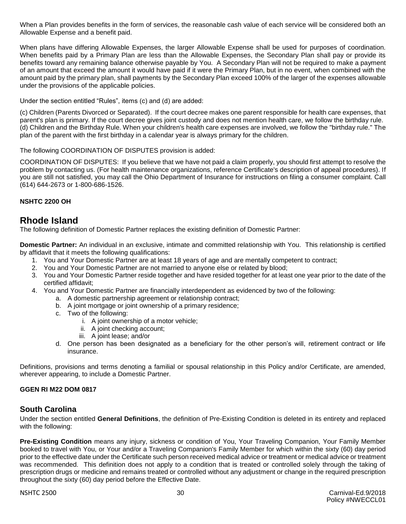When a Plan provides benefits in the form of services, the reasonable cash value of each service will be considered both an Allowable Expense and a benefit paid.

When plans have differing Allowable Expenses, the larger Allowable Expense shall be used for purposes of coordination. When benefits paid by a Primary Plan are less than the Allowable Expenses, the Secondary Plan shall pay or provide its benefits toward any remaining balance otherwise payable by You. A Secondary Plan will not be required to make a payment of an amount that exceed the amount it would have paid if it were the Primary Plan, but in no event, when combined with the amount paid by the primary plan, shall payments by the Secondary Plan exceed 100% of the larger of the expenses allowable under the provisions of the applicable policies.

Under the section entitled "Rules", items (c) and (d) are added:

(c) Children (Parents Divorced or Separated). If the court decree makes one parent responsible for health care expenses, that parent's plan is primary. If the court decree gives joint custody and does not mention health care, we follow the birthday rule. (d) Children and the Birthday Rule. When your children's health care expenses are involved, we follow the "birthday rule." The plan of the parent with the first birthday in a calendar year is always primary for the children.

The following COORDINATION OF DISPUTES provision is added:

COORDINATION OF DISPUTES: If you believe that we have not paid a claim properly, you should first attempt to resolve the problem by contacting us. (For health maintenance organizations, reference Certificate's description of appeal procedures). If you are still not satisfied, you may call the Ohio Department of Insurance for instructions on filing a consumer complaint. Call (614) 644-2673 or 1-800-686-1526.

#### **NSHTC 2200 OH**

# **Rhode Island**

The following definition of Domestic Partner replaces the existing definition of Domestic Partner:

**Domestic Partner:** An individual in an exclusive, intimate and committed relationship with You. This relationship is certified by affidavit that it meets the following qualifications:

- 1. You and Your Domestic Partner are at least 18 years of age and are mentally competent to contract;
- 2. You and Your Domestic Partner are not married to anyone else or related by blood;
- 3. You and Your Domestic Partner reside together and have resided together for at least one year prior to the date of the certified affidavit;
- 4. You and Your Domestic Partner are financially interdependent as evidenced by two of the following:
	- a. A domestic partnership agreement or relationship contract;
	- b. A joint mortgage or joint ownership of a primary residence;
	- c. Two of the following:
		- i. A joint ownership of a motor vehicle;
		- ii. A joint checking account;
		- iii. A joint lease; and/or
	- d. One person has been designated as a beneficiary for the other person's will, retirement contract or life insurance.

Definitions, provisions and terms denoting a familial or spousal relationship in this Policy and/or Certificate, are amended, wherever appearing, to include a Domestic Partner.

#### **GGEN RI M22 DOM 0817**

# **South Carolina**

Under the section entitled **General Definitions**, the definition of Pre-Existing Condition is deleted in its entirety and replaced with the following:

**Pre-Existing Condition** means any injury, sickness or condition of You, Your Traveling Companion, Your Family Member booked to travel with You, or Your and/or a Traveling Companion's Family Member for which within the sixty (60) day period prior to the effective date under the Certificate such person received medical advice or treatment or medical advice or treatment was recommended. This definition does not apply to a condition that is treated or controlled solely through the taking of prescription drugs or medicine and remains treated or controlled without any adjustment or change in the required prescription throughout the sixty (60) day period before the Effective Date.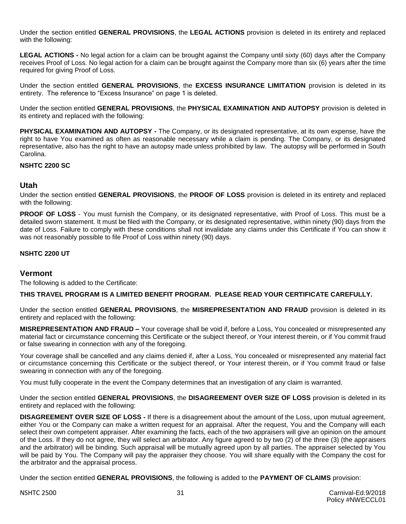Under the section entitled **GENERAL PROVISIONS**, the **LEGAL ACTIONS** provision is deleted in its entirety and replaced with the following:

**LEGAL ACTIONS -** No legal action for a claim can be brought against the Company until sixty (60) days after the Company receives Proof of Loss. No legal action for a claim can be brought against the Company more than six (6) years after the time required for giving Proof of Loss.

Under the section entitled **GENERAL PROVISIONS**, the **EXCESS INSURANCE LIMITATION** provision is deleted in its entirety. The reference to "Excess Insurance" on page 1 is deleted.

Under the section entitled **GENERAL PROVISIONS**, the **PHYSICAL EXAMINATION AND AUTOPSY** provision is deleted in its entirety and replaced with the following:

**PHYSICAL EXAMINATION AND AUTOPSY -** The Company, or its designated representative, at its own expense, have the right to have You examined as often as reasonable necessary while a claim is pending. The Company, or its designated representative, also has the right to have an autopsy made unless prohibited by law. The autopsy will be performed in South Carolina.

# **NSHTC 2200 SC**

# **Utah**

Under the section entitled **GENERAL PROVISIONS**, the **PROOF OF LOSS** provision is deleted in its entirety and replaced with the following:

**PROOF OF LOSS** - You must furnish the Company, or its designated representative, with Proof of Loss. This must be a detailed sworn statement. It must be filed with the Company, or its designated representative, within ninety (90) days from the date of Loss. Failure to comply with these conditions shall not invalidate any claims under this Certificate if You can show it was not reasonably possible to file Proof of Loss within ninety (90) days.

#### **NSHTC 2200 UT**

# **Vermont**

The following is added to the Certificate:

#### **THIS TRAVEL PROGRAM IS A LIMITED BENEFIT PROGRAM. PLEASE READ YOUR CERTIFICATE CAREFULLY.**

Under the section entitled **GENERAL PROVISIONS**, the **MISREPRESENTATION AND FRAUD** provision is deleted in its entirety and replaced with the following:

**MISREPRESENTATION AND FRAUD –** Your coverage shall be void if, before a Loss, You concealed or misrepresented any material fact or circumstance concerning this Certificate or the subject thereof, or Your interest therein, or if You commit fraud or false swearing in connection with any of the foregoing.

Your coverage shall be cancelled and any claims denied if, after a Loss, You concealed or misrepresented any material fact or circumstance concerning this Certificate or the subject thereof, or Your interest therein, or if You commit fraud or false swearing in connection with any of the foregoing.

You must fully cooperate in the event the Company determines that an investigation of any claim is warranted.

Under the section entitled **GENERAL PROVISIONS**, the **DISAGREEMENT OVER SIZE OF LOSS** provision is deleted in its entirety and replaced with the following:

**DISAGREEMENT OVER SIZE OF LOSS -** If there is a disagreement about the amount of the Loss, upon mutual agreement, either You or the Company can make a written request for an appraisal. After the request, You and the Company will each select their own competent appraiser. After examining the facts, each of the two appraisers will give an opinion on the amount of the Loss. If they do not agree, they will select an arbitrator. Any figure agreed to by two (2) of the three (3) (the appraisers and the arbitrator) will be binding. Such appraisal will be mutually agreed upon by all parties. The appraiser selected by You will be paid by You. The Company will pay the appraiser they choose. You will share equally with the Company the cost for the arbitrator and the appraisal process.

Under the section entitled **GENERAL PROVISIONS**, the following is added to the **PAYMENT OF CLAIMS** provision: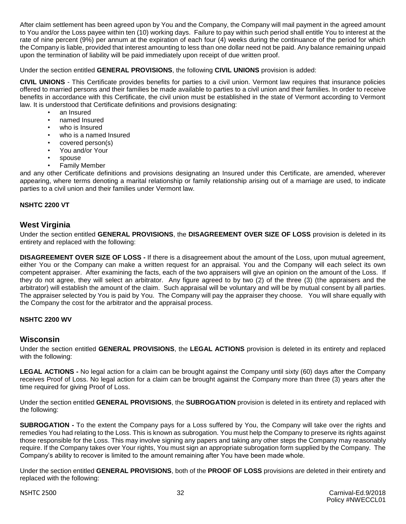After claim settlement has been agreed upon by You and the Company, the Company will mail payment in the agreed amount to You and/or the Loss payee within ten (10) working days. Failure to pay within such period shall entitle You to interest at the rate of nine percent (9%) per annum at the expiration of each four (4) weeks during the continuance of the period for which the Company is liable, provided that interest amounting to less than one dollar need not be paid. Any balance remaining unpaid upon the termination of liability will be paid immediately upon receipt of due written proof.

#### Under the section entitled **GENERAL PROVISIONS**, the following **CIVIL UNIONS** provision is added:

**CIVIL UNIONS** - This Certificate provides benefits for parties to a civil union. Vermont law requires that insurance policies offered to married persons and their families be made available to parties to a civil union and their families. In order to receive benefits in accordance with this Certificate, the civil union must be established in the state of Vermont according to Vermont law. It is understood that Certificate definitions and provisions designating:

- an Insured
- named Insured
- who is Insured
- who is a named Insured
- covered person(s)
- You and/or Your
- spouse
- Family Member

and any other Certificate definitions and provisions designating an Insured under this Certificate, are amended, wherever appearing, where terms denoting a marital relationship or family relationship arising out of a marriage are used, to indicate parties to a civil union and their families under Vermont law.

# **NSHTC 2200 VT**

# **West Virginia**

Under the section entitled **GENERAL PROVISIONS**, the **DISAGREEMENT OVER SIZE OF LOSS** provision is deleted in its entirety and replaced with the following:

**DISAGREEMENT OVER SIZE OF LOSS -** If there is a disagreement about the amount of the Loss, upon mutual agreement, either You or the Company can make a written request for an appraisal. You and the Company will each select its own competent appraiser. After examining the facts, each of the two appraisers will give an opinion on the amount of the Loss. If they do not agree, they will select an arbitrator. Any figure agreed to by two (2) of the three (3) (the appraisers and the arbitrator) will establish the amount of the claim. Such appraisal will be voluntary and will be by mutual consent by all parties. The appraiser selected by You is paid by You. The Company will pay the appraiser they choose. You will share equally with the Company the cost for the arbitrator and the appraisal process.

#### **NSHTC 2200 WV**

#### **Wisconsin**

Under the section entitled **GENERAL PROVISIONS**, the **LEGAL ACTIONS** provision is deleted in its entirety and replaced with the following:

**LEGAL ACTIONS -** No legal action for a claim can be brought against the Company until sixty (60) days after the Company receives Proof of Loss. No legal action for a claim can be brought against the Company more than three (3) years after the time required for giving Proof of Loss.

Under the section entitled **GENERAL PROVISIONS**, the **SUBROGATION** provision is deleted in its entirety and replaced with the following:

**SUBROGATION -** To the extent the Company pays for a Loss suffered by You, the Company will take over the rights and remedies You had relating to the Loss. This is known as subrogation. You must help the Company to preserve its rights against those responsible for the Loss. This may involve signing any papers and taking any other steps the Company may reasonably require. If the Company takes over Your rights, You must sign an appropriate subrogation form supplied by the Company. The Company's ability to recover is limited to the amount remaining after You have been made whole.

Under the section entitled **GENERAL PROVISIONS**, both of the **PROOF OF LOSS** provisions are deleted in their entirety and replaced with the following: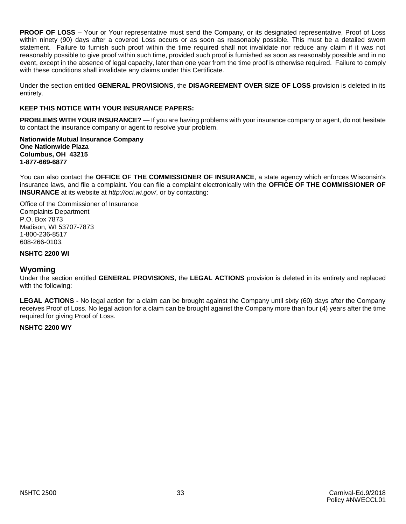**PROOF OF LOSS** – Your or Your representative must send the Company, or its designated representative, Proof of Loss within ninety (90) days after a covered Loss occurs or as soon as reasonably possible. This must be a detailed sworn statement. Failure to furnish such proof within the time required shall not invalidate nor reduce any claim if it was not reasonably possible to give proof within such time, provided such proof is furnished as soon as reasonably possible and in no event, except in the absence of legal capacity, later than one year from the time proof is otherwise required. Failure to comply with these conditions shall invalidate any claims under this Certificate.

Under the section entitled **GENERAL PROVISIONS**, the **DISAGREEMENT OVER SIZE OF LOSS** provision is deleted in its entirety.

#### **KEEP THIS NOTICE WITH YOUR INSURANCE PAPERS:**

**PROBLEMS WITH YOUR INSURANCE?** — If you are having problems with your insurance company or agent, do not hesitate to contact the insurance company or agent to resolve your problem.

**Nationwide Mutual Insurance Company One Nationwide Plaza Columbus, OH 43215 1-877-669-6877**

You can also contact the **OFFICE OF THE COMMISSIONER OF INSURANCE**, a state agency which enforces Wisconsin's insurance laws, and file a complaint. You can file a complaint electronically with the **OFFICE OF THE COMMISSIONER OF INSURANCE** at its website at *http://oci.wi.gov/*, or by contacting:

Office of the Commissioner of Insurance Complaints Department P.O. Box 7873 Madison, WI 53707-7873 1-800-236-8517 608-266-0103.

#### **NSHTC 2200 WI**

#### **Wyoming**

Under the section entitled **GENERAL PROVISIONS**, the **LEGAL ACTIONS** provision is deleted in its entirety and replaced with the following:

**LEGAL ACTIONS -** No legal action for a claim can be brought against the Company until sixty (60) days after the Company receives Proof of Loss. No legal action for a claim can be brought against the Company more than four (4) years after the time required for giving Proof of Loss.

#### **NSHTC 2200 WY**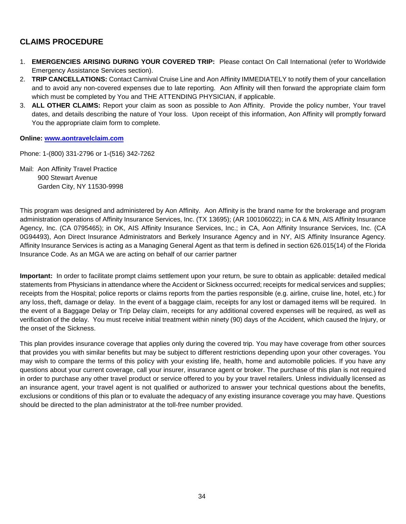# **CLAIMS PROCEDURE**

- 1. **EMERGENCIES ARISING DURING YOUR COVERED TRIP:** Please contact On Call International (refer to Worldwide Emergency Assistance Services section).
- 2. **TRIP CANCELLATIONS:** Contact Carnival Cruise Line and Aon Affinity IMMEDIATELY to notify them of your cancellation and to avoid any non-covered expenses due to late reporting. Aon Affinity will then forward the appropriate claim form which must be completed by You and THE ATTENDING PHYSICIAN, if applicable.
- 3. **ALL OTHER CLAIMS:** Report your claim as soon as possible to Aon Affinity. Provide the policy number, Your travel dates, and details describing the nature of Your loss. Upon receipt of this information, Aon Affinity will promptly forward You the appropriate claim form to complete.

#### **Online: [www.aontravelclaim.com](http://www.aontravelclaim.com/)**

Phone: 1-(800) 331-2796 or 1-(516) 342-7262

Mail: Aon Affinity Travel Practice 900 Stewart Avenue Garden City, NY 11530-9998

This program was designed and administered by Aon Affinity. Aon Affinity is the brand name for the brokerage and program administration operations of Affinity Insurance Services, Inc. (TX 13695); (AR 100106022); in CA & MN, AIS Affinity Insurance Agency, Inc. (CA 0795465); in OK, AIS Affinity Insurance Services, Inc.; in CA, Aon Affinity Insurance Services, Inc. (CA 0G94493), Aon Direct Insurance Administrators and Berkely Insurance Agency and in NY, AIS Affinity Insurance Agency. Affinity Insurance Services is acting as a Managing General Agent as that term is defined in section 626.015(14) of the Florida Insurance Code. As an MGA we are acting on behalf of our carrier partner

**Important:** In order to facilitate prompt claims settlement upon your return, be sure to obtain as applicable: detailed medical statements from Physicians in attendance where the Accident or Sickness occurred; receipts for medical services and supplies; receipts from the Hospital; police reports or claims reports from the parties responsible (e.g. airline, cruise line, hotel, etc.) for any loss, theft, damage or delay. In the event of a baggage claim, receipts for any lost or damaged items will be required. In the event of a Baggage Delay or Trip Delay claim, receipts for any additional covered expenses will be required, as well as verification of the delay. You must receive initial treatment within ninety (90) days of the Accident, which caused the Injury, or the onset of the Sickness.

This plan provides insurance coverage that applies only during the covered trip. You may have coverage from other sources that provides you with similar benefits but may be subject to different restrictions depending upon your other coverages. You may wish to compare the terms of this policy with your existing life, health, home and automobile policies. If you have any questions about your current coverage, call your insurer, insurance agent or broker. The purchase of this plan is not required in order to purchase any other travel product or service offered to you by your travel retailers. Unless individually licensed as an insurance agent, your travel agent is not qualified or authorized to answer your technical questions about the benefits, exclusions or conditions of this plan or to evaluate the adequacy of any existing insurance coverage you may have. Questions should be directed to the plan administrator at the toll-free number provided.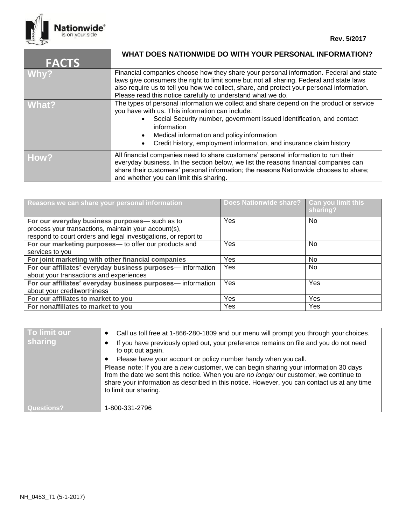

| <b>FACTS</b> | WHAT DOES NATIONWIDE DO WITH YOUR PERSONAL INFORMATION?                                                                                                                                                                                                                                                                                                 |
|--------------|---------------------------------------------------------------------------------------------------------------------------------------------------------------------------------------------------------------------------------------------------------------------------------------------------------------------------------------------------------|
| Why?         | Financial companies choose how they share your personal information. Federal and state<br>laws give consumers the right to limit some but not all sharing. Federal and state laws<br>also require us to tell you how we collect, share, and protect your personal information.<br>Please read this notice carefully to understand what we do.           |
| What?        | The types of personal information we collect and share depend on the product or service<br>you have with us. This information can include:<br>Social Security number, government issued identification, and contact<br>information<br>Medical information and policy information<br>Credit history, employment information, and insurance claim history |
| How?         | All financial companies need to share customers' personal information to run their<br>everyday business. In the section below, we list the reasons financial companies can<br>share their customers' personal information; the reasons Nationwide chooses to share;<br>and whether you can limit this sharing.                                          |

| Reasons we can share your personal information                                                        | Does Nationwide share?   Can you limit this | sharing?   |
|-------------------------------------------------------------------------------------------------------|---------------------------------------------|------------|
| For our everyday business purposes-such as to<br>process your transactions, maintain your account(s), | Yes                                         | No.        |
| respond to court orders and legal investigations, or report to                                        |                                             |            |
| For our marketing purposes- to offer our products and                                                 | Yes                                         | No.        |
| services to you                                                                                       |                                             |            |
| For joint marketing with other financial companies                                                    | <b>Yes</b>                                  | No.        |
| For our affiliates' everyday business purposes-information                                            | Yes                                         | No.        |
| about your transactions and experiences                                                               |                                             |            |
| For our affiliates' everyday business purposes-information                                            | Yes                                         | Yes        |
| about your creditworthiness                                                                           |                                             |            |
| For our affiliates to market to you                                                                   | Yes                                         | <b>Yes</b> |
| For nonaffiliates to market to you                                                                    | Yes                                         | Yes        |

| To limit our<br><b>sharing</b> | Call us toll free at 1-866-280-1809 and our menu will prompt you through your choices.<br>If you have previously opted out, your preference remains on file and you do not need<br>to opt out again.<br>Please have your account or policy number handy when you call.<br>Please note: If you are a new customer, we can begin sharing your information 30 days<br>from the date we sent this notice. When you are no longer our customer, we continue to<br>share your information as described in this notice. However, you can contact us at any time<br>to limit our sharing. |
|--------------------------------|-----------------------------------------------------------------------------------------------------------------------------------------------------------------------------------------------------------------------------------------------------------------------------------------------------------------------------------------------------------------------------------------------------------------------------------------------------------------------------------------------------------------------------------------------------------------------------------|
| l Questions?                   | 1-800-331-2796                                                                                                                                                                                                                                                                                                                                                                                                                                                                                                                                                                    |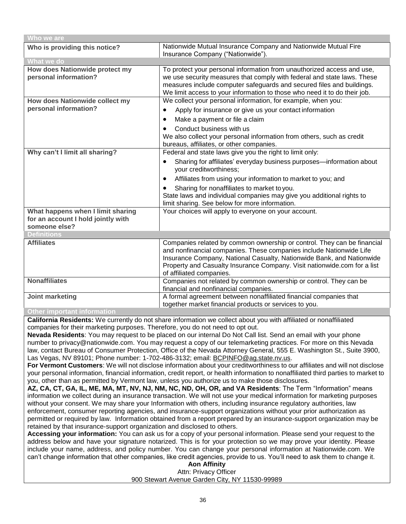| Who we are                                              |                                                                                                                                                                                                                                                                                                                                 |  |  |  |
|---------------------------------------------------------|---------------------------------------------------------------------------------------------------------------------------------------------------------------------------------------------------------------------------------------------------------------------------------------------------------------------------------|--|--|--|
| Who is providing this notice?                           | Nationwide Mutual Insurance Company and Nationwide Mutual Fire<br>Insurance Company ("Nationwide").                                                                                                                                                                                                                             |  |  |  |
| What we do                                              |                                                                                                                                                                                                                                                                                                                                 |  |  |  |
| How does Nationwide protect my<br>personal information? | To protect your personal information from unauthorized access and use,<br>we use security measures that comply with federal and state laws. These<br>measures include computer safeguards and secured files and buildings.<br>We limit access to your information to those who need it to do their job.                         |  |  |  |
| How does Nationwide collect my                          | We collect your personal information, for example, when you:                                                                                                                                                                                                                                                                    |  |  |  |
| personal information?                                   | Apply for insurance or give us your contact information<br>$\bullet$                                                                                                                                                                                                                                                            |  |  |  |
|                                                         | Make a payment or file a claim<br>$\bullet$                                                                                                                                                                                                                                                                                     |  |  |  |
|                                                         | Conduct business with us<br>We also collect your personal information from others, such as credit<br>bureaus, affiliates, or other companies.                                                                                                                                                                                   |  |  |  |
| Why can't I limit all sharing?                          | Federal and state laws give you the right to limit only:                                                                                                                                                                                                                                                                        |  |  |  |
|                                                         | Sharing for affiliates' everyday business purposes-information about<br>$\bullet$<br>your creditworthiness;                                                                                                                                                                                                                     |  |  |  |
|                                                         | Affiliates from using your information to market to you; and<br>$\bullet$                                                                                                                                                                                                                                                       |  |  |  |
|                                                         | Sharing for nonaffiliates to market to you.<br>$\bullet$                                                                                                                                                                                                                                                                        |  |  |  |
|                                                         | State laws and individual companies may give you additional rights to<br>limit sharing. See below for more information.                                                                                                                                                                                                         |  |  |  |
| What happens when I limit sharing                       | Your choices will apply to everyone on your account.                                                                                                                                                                                                                                                                            |  |  |  |
| for an account I hold jointly with                      |                                                                                                                                                                                                                                                                                                                                 |  |  |  |
| someone else?                                           |                                                                                                                                                                                                                                                                                                                                 |  |  |  |
| <b>Definitions</b>                                      |                                                                                                                                                                                                                                                                                                                                 |  |  |  |
| <b>Affiliates</b>                                       | Companies related by common ownership or control. They can be financial<br>and nonfinancial companies. These companies include Nationwide Life<br>Insurance Company, National Casualty, Nationwide Bank, and Nationwide<br>Property and Casualty Insurance Company. Visit nationwide.com for a list<br>of affiliated companies. |  |  |  |
| <b>Nonaffiliates</b>                                    | Companies not related by common ownership or control. They can be<br>financial and nonfinancial companies.                                                                                                                                                                                                                      |  |  |  |
| Joint marketing                                         | A formal agreement between nonaffiliated financial companies that<br>together market financial products or services to you.                                                                                                                                                                                                     |  |  |  |

#### **Other important information**

**California Residents:** We currently do not share information we collect about you with affiliated or nonaffiliated companies for their marketing purposes. Therefore, you do not need to opt out.

**Nevada Residents**: You may request to be placed on our internal Do Not Call list. Send an email with your phone number to [privacy@nationwide.com.](mailto:privacy@nationwide.com) You may request a copy of our telemarketing practices. For more on this Nevada law, contact Bureau of Consumer Protection, Office of the Nevada Attorney General, 555 E. Washington St., Suite 3900, Las Vegas, NV 89101; Phone number: 1-702-486-3132; email: [BCPINFO@ag.state.nv.us.](mailto:BCPINFO@ag.state.nv.us)

**For Vermont Customers**: We will not disclose information about your creditworthiness to our affiliates and will not disclose your personal information, financial information, credit report, or health information to nonaffiliated third parties to market to you, other than as permitted by Vermont law, unless you authorize us to make those disclosures.

**AZ, CA, CT, GA, IL, ME, MA, MT, NV, NJ, NM, NC, ND, OH, OR, and VA Residents**: The Term "Information" means information we collect during an insurance transaction. We will not use your medical information for marketing purposes without your consent. We may share your Information with others, including insurance regulatory authorities, law enforcement, consumer reporting agencies, and insurance-support organizations without your prior authorization as permitted or required by law. Information obtained from a report prepared by an insurance-support organization may be retained by that insurance-support organization and disclosed to others.

**Accessing your information:** You can ask us for a copy of your personal information. Please send your request to the address below and have your signature notarized. This is for your protection so we may prove your identity. Please include your name, address, and policy number. You can change your personal information at Nationwide.com. We can't change information that other companies, like credit agencies, provide to us. You'll need to ask them to change it.

**Aon Affinity** Attn: Privacy Officer 900 Stewart Avenue Garden City, NY 11530-99989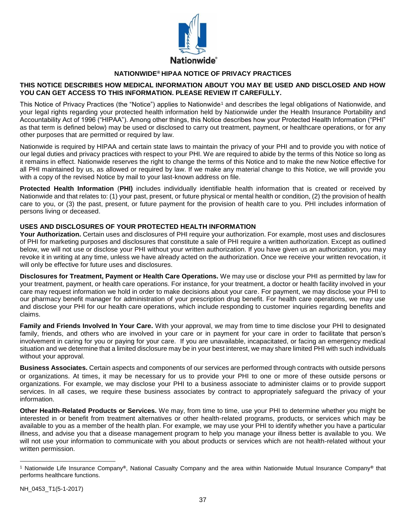

### **NATIONWIDE® HIPAA NOTICE OF PRIVACY PRACTICES**

#### **THIS NOTICE DESCRIBES HOW MEDICAL INFORMATION ABOUT YOU MAY BE USED AND DISCLOSED AND HOW YOU CAN GET ACCESS TO THIS INFORMATION. PLEASE REVIEW IT CAREFULLY.**

This Notice of Privacy Practices (the "Notice") applies to Nationwide<sup>1</sup> and describes the legal obligations of Nationwide, and your legal rights regarding your protected health information held by Nationwide under the Health Insurance Portability and Accountability Act of 1996 ("HIPAA"). Among other things, this Notice describes how your Protected Health Information ("PHI" as that term is defined below) may be used or disclosed to carry out treatment, payment, or healthcare operations, or for any other purposes that are permitted or required by law.

Nationwide is required by HIPAA and certain state laws to maintain the privacy of your PHI and to provide you with notice of our legal duties and privacy practices with respect to your PHI. We are required to abide by the terms of this Notice so long as it remains in effect. Nationwide reserves the right to change the terms of this Notice and to make the new Notice effective for all PHI maintained by us, as allowed or required by law. If we make any material change to this Notice, we will provide you with a copy of the revised Notice by mail to your last-known address on file.

**Protected Health Information** (**PHI)** includes individually identifiable health information that is created or received by Nationwide and that relates to: (1) your past, present, or future physical or mental health or condition, (2) the provision of health care to you, or (3) the past, present, or future payment for the provision of health care to you. PHI includes information of persons living or deceased.

#### **USES AND DISCLOSURES OF YOUR PROTECTED HEALTH INFORMATION**

**Your Authorization.** Certain uses and disclosures of PHI require your authorization. For example, most uses and disclosures of PHI for marketing purposes and disclosures that constitute a sale of PHI require a written authorization. Except as outlined below, we will not use or disclose your PHI without your written authorization. If you have given us an authorization, you may revoke it in writing at any time, unless we have already acted on the authorization. Once we receive your written revocation, it will only be effective for future uses and disclosures.

**Disclosures for Treatment, Payment or Health Care Operations.** We may use or disclose your PHI as permitted by law for your treatment, payment, or health care operations. For instance, for your treatment, a doctor or health facility involved in your care may request information we hold in order to make decisions about your care. For payment, we may disclose your PHI to our pharmacy benefit manager for administration of your prescription drug benefit. For health care operations, we may use and disclose your PHI for our health care operations, which include responding to customer inquiries regarding benefits and claims.

**Family and Friends Involved In Your Care.** With your approval, we may from time to time disclose your PHI to designated family, friends, and others who are involved in your care or in payment for your care in order to facilitate that person's involvement in caring for you or paying for your care. If you are unavailable, incapacitated, or facing an emergency medical situation and we determine that a limited disclosure may be in your best interest, we may share limited PHI with such individuals without your approval.

**Business Associates.** Certain aspects and components of our services are performed through contracts with outside persons or organizations. At times, it may be necessary for us to provide your PHI to one or more of these outside persons or organizations. For example, we may disclose your PHI to a business associate to administer claims or to provide support services. In all cases, we require these business associates by contract to appropriately safeguard the privacy of your information.

**Other Health-Related Products or Services.** We may, from time to time, use your PHI to determine whether you might be interested in or benefit from treatment alternatives or other health-related programs, products, or services which may be available to you as a member of the health plan. For example, we may use your PHI to identify whether you have a particular illness, and advise you that a disease management program to help you manage your illness better is available to you. We will not use your information to communicate with you about products or services which are not health-related without your written permission.

 $\overline{a}$ <sup>1</sup> Nationwide Life Insurance Company**®**, National Casualty Company and the area within Nationwide Mutual Insurance Company**®** that performs healthcare functions.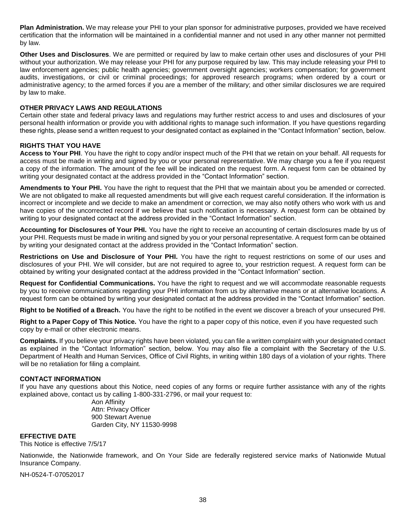**Plan Administration.** We may release your PHI to your plan sponsor for administrative purposes, provided we have received certification that the information will be maintained in a confidential manner and not used in any other manner not permitted by law.

**Other Uses and Disclosures**. We are permitted or required by law to make certain other uses and disclosures of your PHI without your authorization. We may release your PHI for any purpose required by law. This may include releasing your PHI to law enforcement agencies; public health agencies; government oversight agencies; workers compensation; for government audits, investigations, or civil or criminal proceedings; for approved research programs; when ordered by a court or administrative agency; to the armed forces if you are a member of the military; and other similar disclosures we are required by law to make.

#### **OTHER PRIVACY LAWS AND REGULATIONS**

Certain other state and federal privacy laws and regulations may further restrict access to and uses and disclosures of your personal health information or provide you with additional rights to manage such information. If you have questions regarding these rights, please send a written request to your designated contact as explained in the "Contact Information" section, below.

#### **RIGHTS THAT YOU HAVE**

**Access to Your PHI**. You have the right to copy and/or inspect much of the PHI that we retain on your behalf. All requests for access must be made in writing and signed by you or your personal representative. We may charge you a fee if you request a copy of the information. The amount of the fee will be indicated on the request form. A request form can be obtained by writing your designated contact at the address provided in the "Contact Information" section.

**Amendments to Your PHI.** You have the right to request that the PHI that we maintain about you be amended or corrected. We are not obligated to make all requested amendments but will give each request careful consideration. If the information is incorrect or incomplete and we decide to make an amendment or correction, we may also notify others who work with us and have copies of the uncorrected record if we believe that such notification is necessary. A request form can be obtained by writing to your designated contact at the address provided in the "Contact Information" section.

**Accounting for Disclosures of Your PHI.** You have the right to receive an accounting of certain disclosures made by us of your PHI. Requests must be made in writing and signed by you or your personal representative. A request form can be obtained by writing your designated contact at the address provided in the "Contact Information" section.

**Restrictions on Use and Disclosure of Your PHI.** You have the right to request restrictions on some of our uses and disclosures of your PHI. We will consider, but are not required to agree to, your restriction request. A request form can be obtained by writing your designated contact at the address provided in the "Contact Information" section.

**Request for Confidential Communications.** You have the right to request and we will accommodate reasonable requests by you to receive communications regarding your PHI information from us by alternative means or at alternative locations. A request form can be obtained by writing your designated contact at the address provided in the "Contact Information" section.

**Right to be Notified of a Breach.** You have the right to be notified in the event we discover a breach of your unsecured PHI.

**Right to a Paper Copy of This Notice.** You have the right to a paper copy of this notice, even if you have requested such copy by e-mail or other electronic means.

**Complaints.** If you believe your privacy rights have been violated, you can file a written complaint with your designated contact as explained in the "Contact Information" section, below. You may also file a complaint with the Secretary of the U.S. Department of Health and Human Services, Office of Civil Rights, in writing within 180 days of a violation of your rights. There will be no retaliation for filing a complaint.

#### **CONTACT INFORMATION**

If you have any questions about this Notice, need copies of any forms or require further assistance with any of the rights explained above, contact us by calling 1-800-331-2796, or mail your request to:

> Aon Affinity Attn: Privacy Officer 900 Stewart Avenue Garden City, NY 11530-9998

#### **EFFECTIVE DATE**

This Notice is effective 7/5/17

Nationwide, the Nationwide framework, and On Your Side are federally registered service marks of Nationwide Mutual Insurance Company.

NH-0524-T-07052017